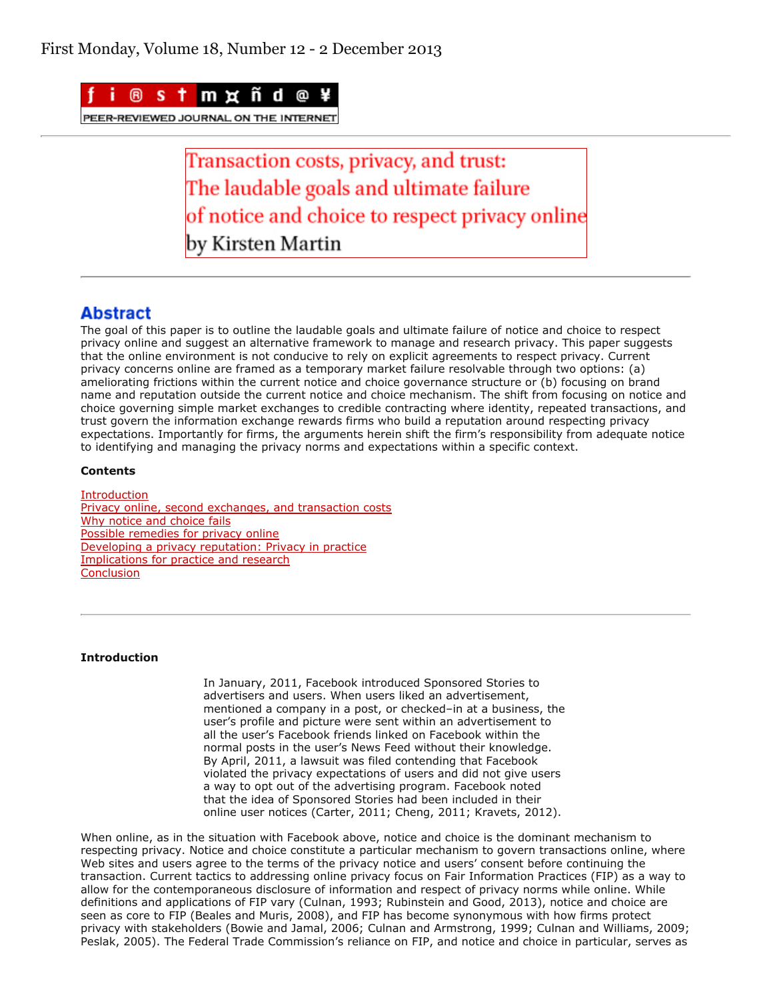

PEER-REVIEWED JOURNAL ON THE INTERNE

Transaction costs, privacy, and trust: The laudable goals and ultimate failure of notice and choice to respect privacy online ov Kirsten Martin

# **Abstract**

The goal of this paper is to outline the laudable goals and ultimate failure of notice and choice to respect privacy online and suggest an alternative framework to manage and research privacy. This paper suggests that the online environment is not conducive to rely on explicit agreements to respect privacy. Current privacy concerns online are framed as a temporary market failure resolvable through two options: (a) ameliorating frictions within the current notice and choice governance structure or (b) focusing on brand name and reputation outside the current notice and choice mechanism. The shift from focusing on notice and choice governing simple market exchanges to credible contracting where identity, repeated transactions, and trust govern the information exchange rewards firms who build a reputation around respecting privacy expectations. Importantly for firms, the arguments herein shift the firm's responsibility from adequate notice to identifying and managing the privacy norms and expectations within a specific context.

# **Contents**

**[Introduction](http://firstmonday.org/ojs/index.php/fm/rt/printerFriendly/4838/3802#p1)** [Privacy online, second exchanges, and transaction costs](http://firstmonday.org/ojs/index.php/fm/rt/printerFriendly/4838/3802#p2) [Why notice and choice fails](http://firstmonday.org/ojs/index.php/fm/rt/printerFriendly/4838/3802#p3) [Possible remedies for privacy online](http://firstmonday.org/ojs/index.php/fm/rt/printerFriendly/4838/3802#p4) [Developing a privacy reputation: Privacy in practice](http://firstmonday.org/ojs/index.php/fm/rt/printerFriendly/4838/3802#p5) [Implications for practice and research](http://firstmonday.org/ojs/index.php/fm/rt/printerFriendly/4838/3802#p6) **[Conclusion](http://firstmonday.org/ojs/index.php/fm/rt/printerFriendly/4838/3802#p7)** 

# **Introduction**

In January, 2011, Facebook introduced Sponsored Stories to advertisers and users. When users liked an advertisement, mentioned a company in a post, or checked–in at a business, the user's profile and picture were sent within an advertisement to all the user's Facebook friends linked on Facebook within the normal posts in the user's News Feed without their knowledge. By April, 2011, a lawsuit was filed contending that Facebook violated the privacy expectations of users and did not give users a way to opt out of the advertising program. Facebook noted that the idea of Sponsored Stories had been included in their online user notices (Carter, 2011; Cheng, 2011; Kravets, 2012).

When online, as in the situation with Facebook above, notice and choice is the dominant mechanism to respecting privacy. Notice and choice constitute a particular mechanism to govern transactions online, where Web sites and users agree to the terms of the privacy notice and users' consent before continuing the transaction. Current tactics to addressing online privacy focus on Fair Information Practices (FIP) as a way to allow for the contemporaneous disclosure of information and respect of privacy norms while online. While definitions and applications of FIP vary (Culnan, 1993; Rubinstein and Good, 2013), notice and choice are seen as core to FIP (Beales and Muris, 2008), and FIP has become synonymous with how firms protect privacy with stakeholders (Bowie and Jamal, 2006; Culnan and Armstrong, 1999; Culnan and Williams, 2009; Peslak, 2005). The Federal Trade Commission's reliance on FIP, and notice and choice in particular, serves as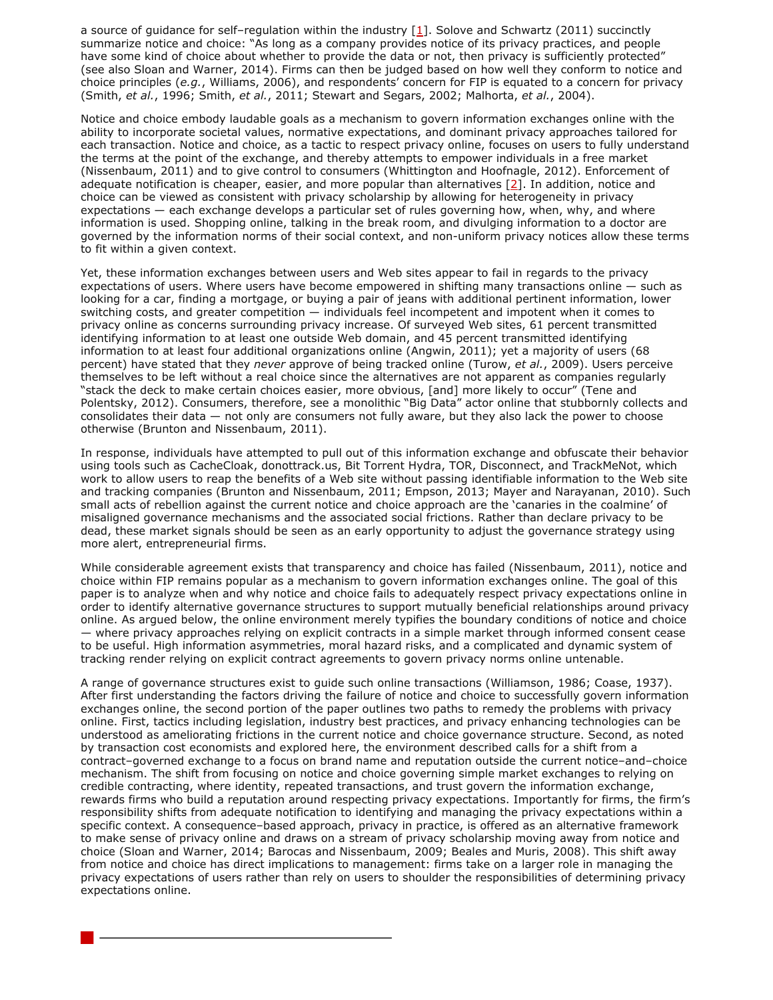a source of guidance for self–regulation within the industry [[1\]](http://firstmonday.org/ojs/index.php/fm/rt/printerFriendly/4838/3802#1). Solove and Schwartz (2011) succinctly summarize notice and choice: "As long as a company provides notice of its privacy practices, and people have some kind of choice about whether to provide the data or not, then privacy is sufficiently protected" (see also Sloan and Warner, 2014). Firms can then be judged based on how well they conform to notice and choice principles (*e.g.*, Williams, 2006), and respondents' concern for FIP is equated to a concern for privacy (Smith, *et al.*, 1996; Smith, *et al.*, 2011; Stewart and Segars, 2002; Malhorta, *et al.*, 2004).

Notice and choice embody laudable goals as a mechanism to govern information exchanges online with the ability to incorporate societal values, normative expectations, and dominant privacy approaches tailored for each transaction. Notice and choice, as a tactic to respect privacy online, focuses on users to fully understand the terms at the point of the exchange, and thereby attempts to empower individuals in a free market (Nissenbaum, 2011) and to give control to consumers (Whittington and Hoofnagle, 2012). Enforcement of adequate notification is cheaper, easier, and more popular than alternatives  $[2]$  $[2]$ . In addition, notice and choice can be viewed as consistent with privacy scholarship by allowing for heterogeneity in privacy expectations — each exchange develops a particular set of rules governing how, when, why, and where information is used. Shopping online, talking in the break room, and divulging information to a doctor are governed by the information norms of their social context, and non-uniform privacy notices allow these terms to fit within a given context.

Yet, these information exchanges between users and Web sites appear to fail in regards to the privacy expectations of users. Where users have become empowered in shifting many transactions online — such as looking for a car, finding a mortgage, or buying a pair of jeans with additional pertinent information, lower switching costs, and greater competition — individuals feel incompetent and impotent when it comes to privacy online as concerns surrounding privacy increase. Of surveyed Web sites, 61 percent transmitted identifying information to at least one outside Web domain, and 45 percent transmitted identifying information to at least four additional organizations online (Angwin, 2011); yet a majority of users (68 percent) have stated that they *never* approve of being tracked online (Turow, *et al.*, 2009). Users perceive themselves to be left without a real choice since the alternatives are not apparent as companies regularly "stack the deck to make certain choices easier, more obvious, [and] more likely to occur" (Tene and Polentsky, 2012). Consumers, therefore, see a monolithic "Big Data" actor online that stubbornly collects and consolidates their data — not only are consumers not fully aware, but they also lack the power to choose otherwise (Brunton and Nissenbaum, 2011).

In response, individuals have attempted to pull out of this information exchange and obfuscate their behavior using tools such as CacheCloak, donottrack.us, Bit Torrent Hydra, TOR, Disconnect, and TrackMeNot, which work to allow users to reap the benefits of a Web site without passing identifiable information to the Web site and tracking companies (Brunton and Nissenbaum, 2011; Empson, 2013; Mayer and Narayanan, 2010). Such small acts of rebellion against the current notice and choice approach are the 'canaries in the coalmine' of misaligned governance mechanisms and the associated social frictions. Rather than declare privacy to be dead, these market signals should be seen as an early opportunity to adjust the governance strategy using more alert, entrepreneurial firms.

While considerable agreement exists that transparency and choice has failed (Nissenbaum, 2011), notice and choice within FIP remains popular as a mechanism to govern information exchanges online. The goal of this paper is to analyze when and why notice and choice fails to adequately respect privacy expectations online in order to identify alternative governance structures to support mutually beneficial relationships around privacy online. As argued below, the online environment merely typifies the boundary conditions of notice and choice — where privacy approaches relying on explicit contracts in a simple market through informed consent cease to be useful. High information asymmetries, moral hazard risks, and a complicated and dynamic system of tracking render relying on explicit contract agreements to govern privacy norms online untenable.

A range of governance structures exist to guide such online transactions (Williamson, 1986; Coase, 1937). After first understanding the factors driving the failure of notice and choice to successfully govern information exchanges online, the second portion of the paper outlines two paths to remedy the problems with privacy online. First, tactics including legislation, industry best practices, and privacy enhancing technologies can be understood as ameliorating frictions in the current notice and choice governance structure. Second, as noted by transaction cost economists and explored here, the environment described calls for a shift from a contract–governed exchange to a focus on brand name and reputation outside the current notice–and–choice mechanism. The shift from focusing on notice and choice governing simple market exchanges to relying on credible contracting, where identity, repeated transactions, and trust govern the information exchange, rewards firms who build a reputation around respecting privacy expectations. Importantly for firms, the firm's responsibility shifts from adequate notification to identifying and managing the privacy expectations within a specific context. A consequence–based approach, privacy in practice, is offered as an alternative framework to make sense of privacy online and draws on a stream of privacy scholarship moving away from notice and choice (Sloan and Warner, 2014; Barocas and Nissenbaum, 2009; Beales and Muris, 2008). This shift away from notice and choice has direct implications to management: firms take on a larger role in managing the privacy expectations of users rather than rely on users to shoulder the responsibilities of determining privacy expectations online.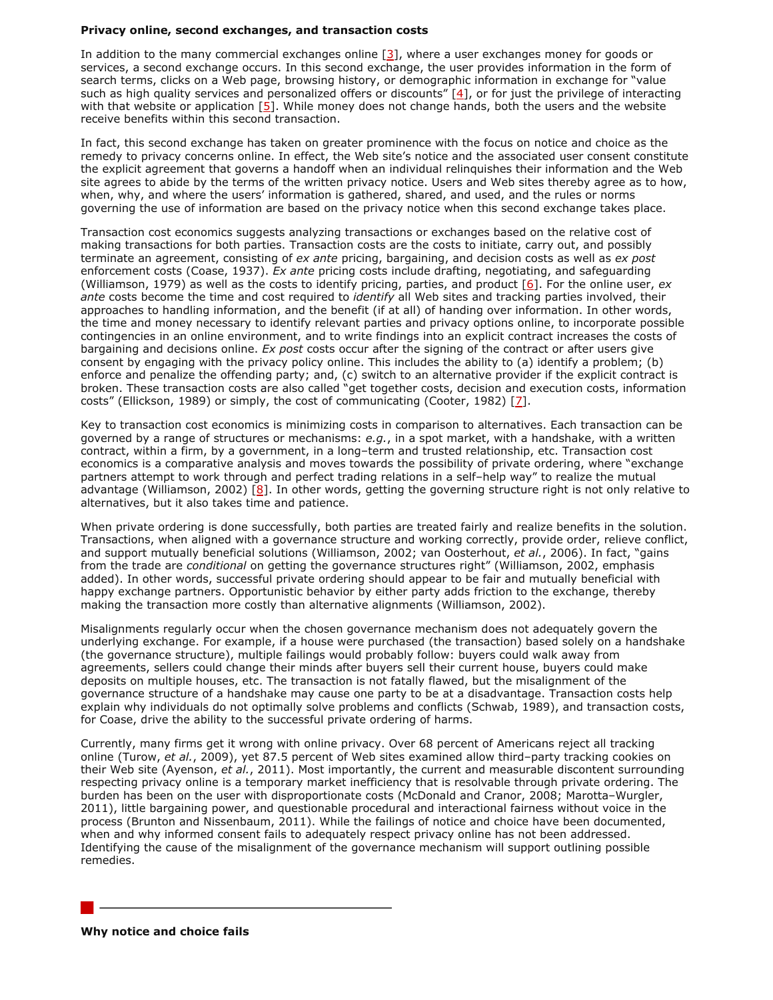## **Privacy online, second exchanges, and transaction costs**

In addition to the many commercial exchanges online  $[3]$ , where a user exchanges money for goods or services, a second exchange occurs. In this second exchange, the user provides information in the form of search terms, clicks on a Web page, browsing history, or demographic information in exchange for "value such as high quality services and personalized offers or discounts"  $[4]$ , or for just the privilege of interacting with that website or application  $[5]$  $[5]$ . While money does not change hands, both the users and the website receive benefits within this second transaction.

In fact, this second exchange has taken on greater prominence with the focus on notice and choice as the remedy to privacy concerns online. In effect, the Web site's notice and the associated user consent constitute the explicit agreement that governs a handoff when an individual relinquishes their information and the Web site agrees to abide by the terms of the written privacy notice. Users and Web sites thereby agree as to how, when, why, and where the users' information is gathered, shared, and used, and the rules or norms governing the use of information are based on the privacy notice when this second exchange takes place.

Transaction cost economics suggests analyzing transactions or exchanges based on the relative cost of making transactions for both parties. Transaction costs are the costs to initiate, carry out, and possibly terminate an agreement, consisting of *ex ante* pricing, bargaining, and decision costs as well as *ex post* enforcement costs (Coase, 1937). *Ex ante* pricing costs include drafting, negotiating, and safeguarding (Williamson, 1979) as well as the costs to identify pricing, parties, and product [\[6\]](http://firstmonday.org/ojs/index.php/fm/rt/printerFriendly/4838/3802#6). For the online user, *ex ante* costs become the time and cost required to *identify* all Web sites and tracking parties involved, their approaches to handling information, and the benefit (if at all) of handing over information. In other words, the time and money necessary to identify relevant parties and privacy options online, to incorporate possible contingencies in an online environment, and to write findings into an explicit contract increases the costs of bargaining and decisions online. *Ex post* costs occur after the signing of the contract or after users give consent by engaging with the privacy policy online. This includes the ability to (a) identify a problem; (b) enforce and penalize the offending party; and, (c) switch to an alternative provider if the explicit contract is broken. These transaction costs are also called "get together costs, decision and execution costs, information costs" (Ellickson, 1989) or simply, the cost of communicating (Cooter, 1982)  $[2]$ .

Key to transaction cost economics is minimizing costs in comparison to alternatives. Each transaction can be governed by a range of structures or mechanisms: *e.g.*, in a spot market, with a handshake, with a written contract, within a firm, by a government, in a long–term and trusted relationship, etc. Transaction cost economics is a comparative analysis and moves towards the possibility of private ordering, where "exchange partners attempt to work through and perfect trading relations in a self–help way" to realize the mutual advantage (Williamson, 2002)  $[8]$ . In other words, getting the governing structure right is not only relative to alternatives, but it also takes time and patience.

When private ordering is done successfully, both parties are treated fairly and realize benefits in the solution. Transactions, when aligned with a governance structure and working correctly, provide order, relieve conflict, and support mutually beneficial solutions (Williamson, 2002; van Oosterhout, *et al.*, 2006). In fact, "gains from the trade are *conditional* on getting the governance structures right" (Williamson, 2002, emphasis added). In other words, successful private ordering should appear to be fair and mutually beneficial with happy exchange partners. Opportunistic behavior by either party adds friction to the exchange, thereby making the transaction more costly than alternative alignments (Williamson, 2002).

Misalignments regularly occur when the chosen governance mechanism does not adequately govern the underlying exchange. For example, if a house were purchased (the transaction) based solely on a handshake (the governance structure), multiple failings would probably follow: buyers could walk away from agreements, sellers could change their minds after buyers sell their current house, buyers could make deposits on multiple houses, etc. The transaction is not fatally flawed, but the misalignment of the governance structure of a handshake may cause one party to be at a disadvantage. Transaction costs help explain why individuals do not optimally solve problems and conflicts (Schwab, 1989), and transaction costs, for Coase, drive the ability to the successful private ordering of harms.

Currently, many firms get it wrong with online privacy. Over 68 percent of Americans reject all tracking online (Turow, *et al.*, 2009), yet 87.5 percent of Web sites examined allow third–party tracking cookies on their Web site (Ayenson, *et al.*, 2011). Most importantly, the current and measurable discontent surrounding respecting privacy online is a temporary market inefficiency that is resolvable through private ordering. The burden has been on the user with disproportionate costs (McDonald and Cranor, 2008; Marotta–Wurgler, 2011), little bargaining power, and questionable procedural and interactional fairness without voice in the process (Brunton and Nissenbaum, 2011). While the failings of notice and choice have been documented, when and why informed consent fails to adequately respect privacy online has not been addressed. Identifying the cause of the misalignment of the governance mechanism will support outlining possible remedies.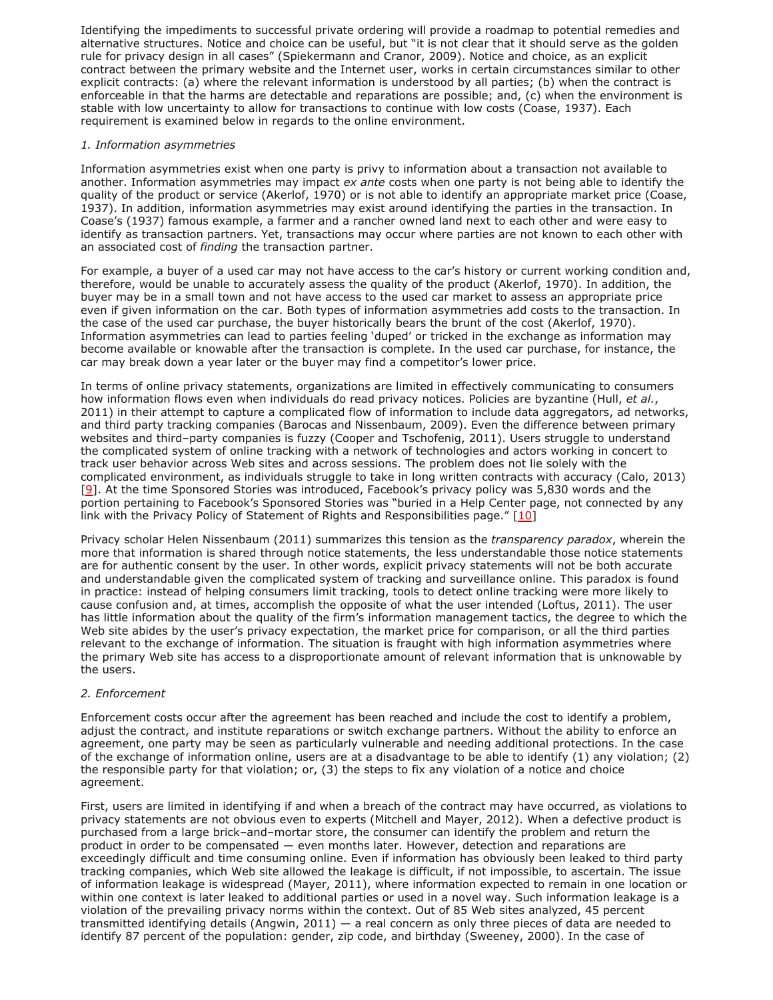Identifying the impediments to successful private ordering will provide a roadmap to potential remedies and alternative structures. Notice and choice can be useful, but "it is not clear that it should serve as the golden rule for privacy design in all cases" (Spiekermann and Cranor, 2009). Notice and choice, as an explicit contract between the primary website and the Internet user, works in certain circumstances similar to other explicit contracts: (a) where the relevant information is understood by all parties; (b) when the contract is enforceable in that the harms are detectable and reparations are possible; and, (c) when the environment is stable with low uncertainty to allow for transactions to continue with low costs (Coase, 1937). Each requirement is examined below in regards to the online environment.

## *1. Information asymmetries*

Information asymmetries exist when one party is privy to information about a transaction not available to another. Information asymmetries may impact *ex ante* costs when one party is not being able to identify the quality of the product or service (Akerlof, 1970) or is not able to identify an appropriate market price (Coase, 1937). In addition, information asymmetries may exist around identifying the parties in the transaction. In Coase's (1937) famous example, a farmer and a rancher owned land next to each other and were easy to identify as transaction partners. Yet, transactions may occur where parties are not known to each other with an associated cost of *finding* the transaction partner.

For example, a buyer of a used car may not have access to the car's history or current working condition and, therefore, would be unable to accurately assess the quality of the product (Akerlof, 1970). In addition, the buyer may be in a small town and not have access to the used car market to assess an appropriate price even if given information on the car. Both types of information asymmetries add costs to the transaction. In the case of the used car purchase, the buyer historically bears the brunt of the cost (Akerlof, 1970). Information asymmetries can lead to parties feeling 'duped' or tricked in the exchange as information may become available or knowable after the transaction is complete. In the used car purchase, for instance, the car may break down a year later or the buyer may find a competitor's lower price.

In terms of online privacy statements, organizations are limited in effectively communicating to consumers how information flows even when individuals do read privacy notices. Policies are byzantine (Hull, *et al.*, 2011) in their attempt to capture a complicated flow of information to include data aggregators, ad networks, and third party tracking companies (Barocas and Nissenbaum, 2009). Even the difference between primary websites and third–party companies is fuzzy (Cooper and Tschofenig, 2011). Users struggle to understand the complicated system of online tracking with a network of technologies and actors working in concert to track user behavior across Web sites and across sessions. The problem does not lie solely with the complicated environment, as individuals struggle to take in long written contracts with accuracy (Calo, 2013) [\[9](http://firstmonday.org/ojs/index.php/fm/rt/printerFriendly/4838/3802#9)]. At the time Sponsored Stories was introduced, Facebook's privacy policy was 5,830 words and the portion pertaining to Facebook's Sponsored Stories was "buried in a Help Center page, not connected by any link with the Privacy Policy of Statement of Rights and Responsibilities page." [\[10\]](http://firstmonday.org/ojs/index.php/fm/rt/printerFriendly/4838/3802#10)

Privacy scholar Helen Nissenbaum (2011) summarizes this tension as the *transparency paradox*, wherein the more that information is shared through notice statements, the less understandable those notice statements are for authentic consent by the user. In other words, explicit privacy statements will not be both accurate and understandable given the complicated system of tracking and surveillance online. This paradox is found in practice: instead of helping consumers limit tracking, tools to detect online tracking were more likely to cause confusion and, at times, accomplish the opposite of what the user intended (Loftus, 2011). The user has little information about the quality of the firm's information management tactics, the degree to which the Web site abides by the user's privacy expectation, the market price for comparison, or all the third parties relevant to the exchange of information. The situation is fraught with high information asymmetries where the primary Web site has access to a disproportionate amount of relevant information that is unknowable by the users.

## *2. Enforcement*

Enforcement costs occur after the agreement has been reached and include the cost to identify a problem, adjust the contract, and institute reparations or switch exchange partners. Without the ability to enforce an agreement, one party may be seen as particularly vulnerable and needing additional protections. In the case of the exchange of information online, users are at a disadvantage to be able to identify (1) any violation; (2) the responsible party for that violation; or, (3) the steps to fix any violation of a notice and choice agreement.

First, users are limited in identifying if and when a breach of the contract may have occurred, as violations to privacy statements are not obvious even to experts (Mitchell and Mayer, 2012). When a defective product is purchased from a large brick–and–mortar store, the consumer can identify the problem and return the product in order to be compensated — even months later. However, detection and reparations are exceedingly difficult and time consuming online. Even if information has obviously been leaked to third party tracking companies, which Web site allowed the leakage is difficult, if not impossible, to ascertain. The issue of information leakage is widespread (Mayer, 2011), where information expected to remain in one location or within one context is later leaked to additional parties or used in a novel way. Such information leakage is a violation of the prevailing privacy norms within the context. Out of 85 Web sites analyzed, 45 percent transmitted identifying details (Angwin, 2011)  $-$  a real concern as only three pieces of data are needed to identify 87 percent of the population: gender, zip code, and birthday (Sweeney, 2000). In the case of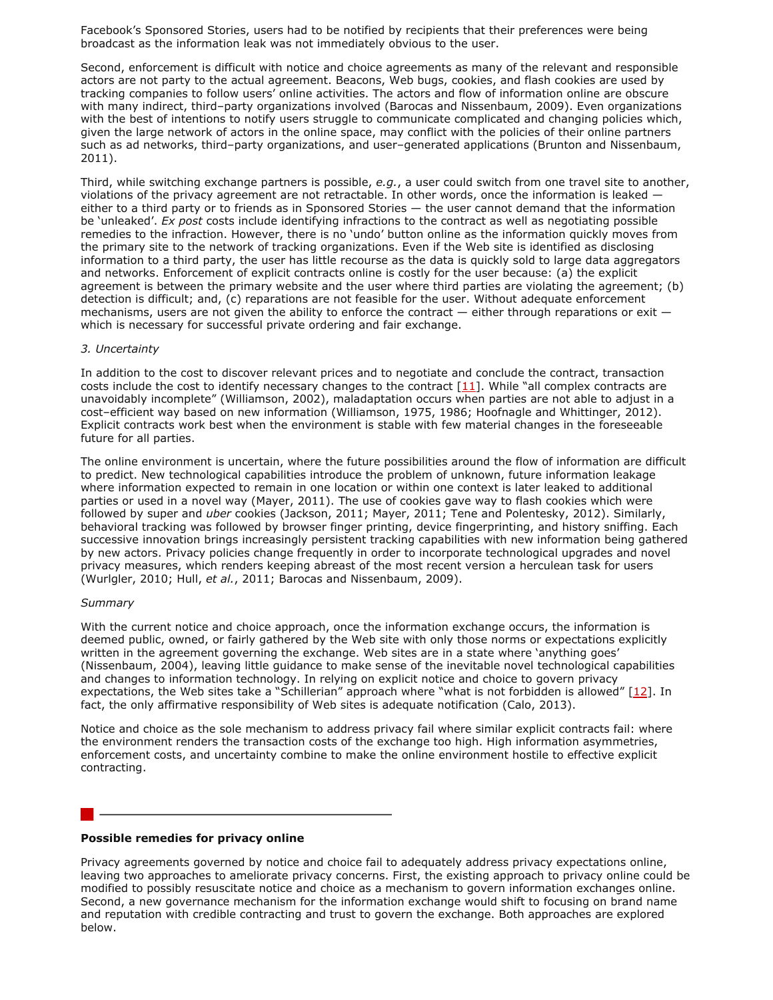Facebook's Sponsored Stories, users had to be notified by recipients that their preferences were being broadcast as the information leak was not immediately obvious to the user.

Second, enforcement is difficult with notice and choice agreements as many of the relevant and responsible actors are not party to the actual agreement. Beacons, Web bugs, cookies, and flash cookies are used by tracking companies to follow users' online activities. The actors and flow of information online are obscure with many indirect, third–party organizations involved (Barocas and Nissenbaum, 2009). Even organizations with the best of intentions to notify users struggle to communicate complicated and changing policies which, given the large network of actors in the online space, may conflict with the policies of their online partners such as ad networks, third–party organizations, and user–generated applications (Brunton and Nissenbaum, 2011).

Third, while switching exchange partners is possible, *e.g.*, a user could switch from one travel site to another, violations of the privacy agreement are not retractable. In other words, once the information is leaked either to a third party or to friends as in Sponsored Stories — the user cannot demand that the information be 'unleaked'. *Ex post* costs include identifying infractions to the contract as well as negotiating possible remedies to the infraction. However, there is no 'undo' button online as the information quickly moves from the primary site to the network of tracking organizations. Even if the Web site is identified as disclosing information to a third party, the user has little recourse as the data is quickly sold to large data aggregators and networks. Enforcement of explicit contracts online is costly for the user because: (a) the explicit agreement is between the primary website and the user where third parties are violating the agreement; (b) detection is difficult; and, (c) reparations are not feasible for the user. Without adequate enforcement mechanisms, users are not given the ability to enforce the contract  $-$  either through reparations or exit  $$ which is necessary for successful private ordering and fair exchange.

#### *3. Uncertainty*

In addition to the cost to discover relevant prices and to negotiate and conclude the contract, transaction costs include the cost to identify necessary changes to the contract  $[11]$ . While "all complex contracts are unavoidably incomplete" (Williamson, 2002), maladaptation occurs when parties are not able to adjust in a cost–efficient way based on new information (Williamson, 1975, 1986; Hoofnagle and Whittinger, 2012). Explicit contracts work best when the environment is stable with few material changes in the foreseeable future for all parties.

The online environment is uncertain, where the future possibilities around the flow of information are difficult to predict. New technological capabilities introduce the problem of unknown, future information leakage where information expected to remain in one location or within one context is later leaked to additional parties or used in a novel way (Mayer, 2011). The use of cookies gave way to flash cookies which were followed by super and *uber* cookies (Jackson, 2011; Mayer, 2011; Tene and Polentesky, 2012). Similarly, behavioral tracking was followed by browser finger printing, device fingerprinting, and history sniffing. Each successive innovation brings increasingly persistent tracking capabilities with new information being gathered by new actors. Privacy policies change frequently in order to incorporate technological upgrades and novel privacy measures, which renders keeping abreast of the most recent version a herculean task for users (Wurlgler, 2010; Hull, *et al.*, 2011; Barocas and Nissenbaum, 2009).

#### *Summary*

With the current notice and choice approach, once the information exchange occurs, the information is deemed public, owned, or fairly gathered by the Web site with only those norms or expectations explicitly written in the agreement governing the exchange. Web sites are in a state where 'anything goes' (Nissenbaum, 2004), leaving little guidance to make sense of the inevitable novel technological capabilities and changes to information technology. In relying on explicit notice and choice to govern privacy expectations, the Web sites take a "Schillerian" approach where "what is not forbidden is allowed" [\[12\]](http://firstmonday.org/ojs/index.php/fm/rt/printerFriendly/4838/3802#12). In fact, the only affirmative responsibility of Web sites is adequate notification (Calo, 2013).

Notice and choice as the sole mechanism to address privacy fail where similar explicit contracts fail: where the environment renders the transaction costs of the exchange too high. High information asymmetries, enforcement costs, and uncertainty combine to make the online environment hostile to effective explicit contracting.

## **Possible remedies for privacy online**

Privacy agreements governed by notice and choice fail to adequately address privacy expectations online, leaving two approaches to ameliorate privacy concerns. First, the existing approach to privacy online could be modified to possibly resuscitate notice and choice as a mechanism to govern information exchanges online. Second, a new governance mechanism for the information exchange would shift to focusing on brand name and reputation with credible contracting and trust to govern the exchange. Both approaches are explored below.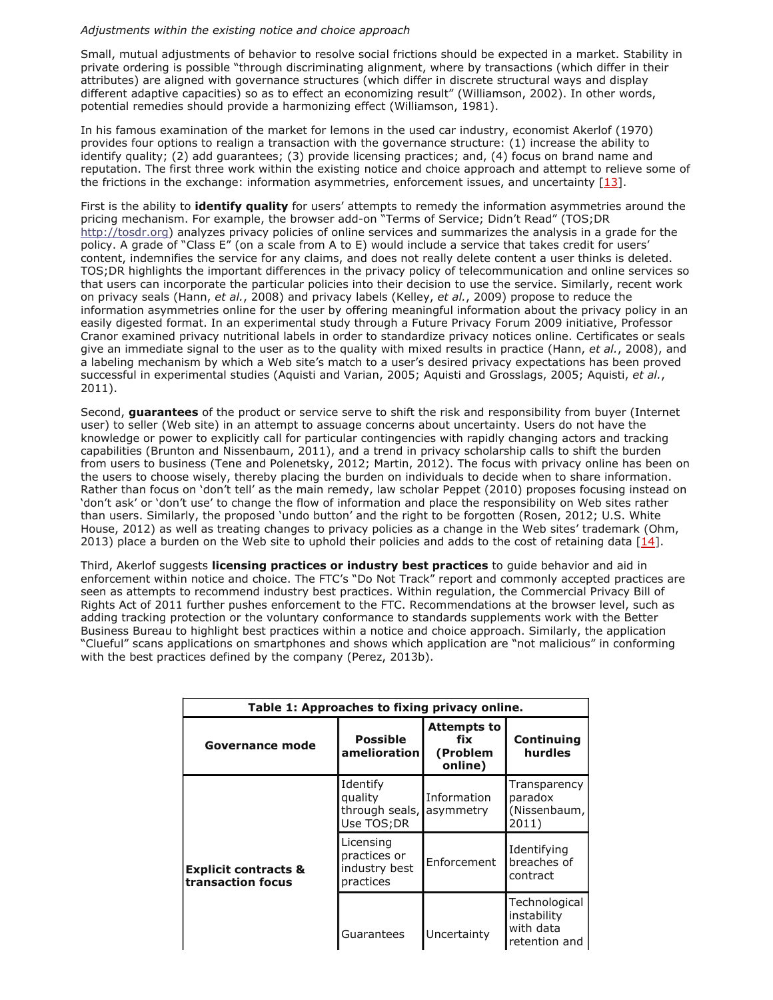## *Adjustments within the existing notice and choice approach*

Small, mutual adjustments of behavior to resolve social frictions should be expected in a market. Stability in private ordering is possible "through discriminating alignment, where by transactions (which differ in their attributes) are aligned with governance structures (which differ in discrete structural ways and display different adaptive capacities) so as to effect an economizing result" (Williamson, 2002). In other words, potential remedies should provide a harmonizing effect (Williamson, 1981).

In his famous examination of the market for lemons in the used car industry, economist Akerlof (1970) provides four options to realign a transaction with the governance structure: (1) increase the ability to identify quality; (2) add guarantees; (3) provide licensing practices; and, (4) focus on brand name and reputation. The first three work within the existing notice and choice approach and attempt to relieve some of the frictions in the exchange: information asymmetries, enforcement issues, and uncertainty [\[13\]](http://firstmonday.org/ojs/index.php/fm/rt/printerFriendly/4838/3802#13).

First is the ability to **identify quality** for users' attempts to remedy the information asymmetries around the pricing mechanism. For example, the browser add-on "Terms of Service; Didn't Read" (TOS;DR [http://tosdr.org\)](http://tosdr.org/) analyzes privacy policies of online services and summarizes the analysis in a grade for the policy. A grade of "Class E" (on a scale from A to E) would include a service that takes credit for users' content, indemnifies the service for any claims, and does not really delete content a user thinks is deleted. TOS;DR highlights the important differences in the privacy policy of telecommunication and online services so that users can incorporate the particular policies into their decision to use the service. Similarly, recent work on privacy seals (Hann, *et al.*, 2008) and privacy labels (Kelley, *et al.*, 2009) propose to reduce the information asymmetries online for the user by offering meaningful information about the privacy policy in an easily digested format. In an experimental study through a Future Privacy Forum 2009 initiative, Professor Cranor examined privacy nutritional labels in order to standardize privacy notices online. Certificates or seals give an immediate signal to the user as to the quality with mixed results in practice (Hann, *et al.*, 2008), and a labeling mechanism by which a Web site's match to a user's desired privacy expectations has been proved successful in experimental studies (Aquisti and Varian, 2005; Aquisti and Grosslags, 2005; Aquisti, *et al.*, 2011).

Second, **guarantees** of the product or service serve to shift the risk and responsibility from buyer (Internet user) to seller (Web site) in an attempt to assuage concerns about uncertainty. Users do not have the knowledge or power to explicitly call for particular contingencies with rapidly changing actors and tracking capabilities (Brunton and Nissenbaum, 2011), and a trend in privacy scholarship calls to shift the burden from users to business (Tene and Polenetsky, 2012; Martin, 2012). The focus with privacy online has been on the users to choose wisely, thereby placing the burden on individuals to decide when to share information. Rather than focus on 'don't tell' as the main remedy, law scholar Peppet (2010) proposes focusing instead on 'don't ask' or 'don't use' to change the flow of information and place the responsibility on Web sites rather than users. Similarly, the proposed 'undo button' and the right to be forgotten (Rosen, 2012; U.S. White House, 2012) as well as treating changes to privacy policies as a change in the Web sites' trademark (Ohm, 2013) place a burden on the Web site to uphold their policies and adds to the cost of retaining data  $[14]$  $[14]$ .

Third, Akerlof suggests **licensing practices or industry best practices** to guide behavior and aid in enforcement within notice and choice. The FTC's "Do Not Track" report and commonly accepted practices are seen as attempts to recommend industry best practices. Within regulation, the Commercial Privacy Bill of Rights Act of 2011 further pushes enforcement to the FTC. Recommendations at the browser level, such as adding tracking protection or the voluntary conformance to standards supplements work with the Better Business Bureau to highlight best practices within a notice and choice approach. Similarly, the application "Clueful" scans applications on smartphones and shows which application are "not malicious" in conforming with the best practices defined by the company (Perez, 2013b).

| Table 1: Approaches to fixing privacy online.        |                                                         |                                                  |                                                            |  |  |
|------------------------------------------------------|---------------------------------------------------------|--------------------------------------------------|------------------------------------------------------------|--|--|
| Governance mode                                      | Possible<br>amelioration                                | <b>Attempts to</b><br>fix<br>(Problem<br>online) | <b>Continuing</b><br>hurdles                               |  |  |
| <b>Explicit contracts &amp;</b><br>transaction focus | Identify<br>quality<br>through seals,<br>Use TOS;DR     | Information<br>asymmetry                         | Transparency<br>paradox<br>(Nissenbaum,<br>2011)           |  |  |
|                                                      | Licensing<br>practices or<br>industry best<br>practices | Enforcement                                      | Identifying<br>breaches of<br>contract                     |  |  |
|                                                      | Guarantees                                              | Uncertainty                                      | Technological<br>instability<br>with data<br>retention and |  |  |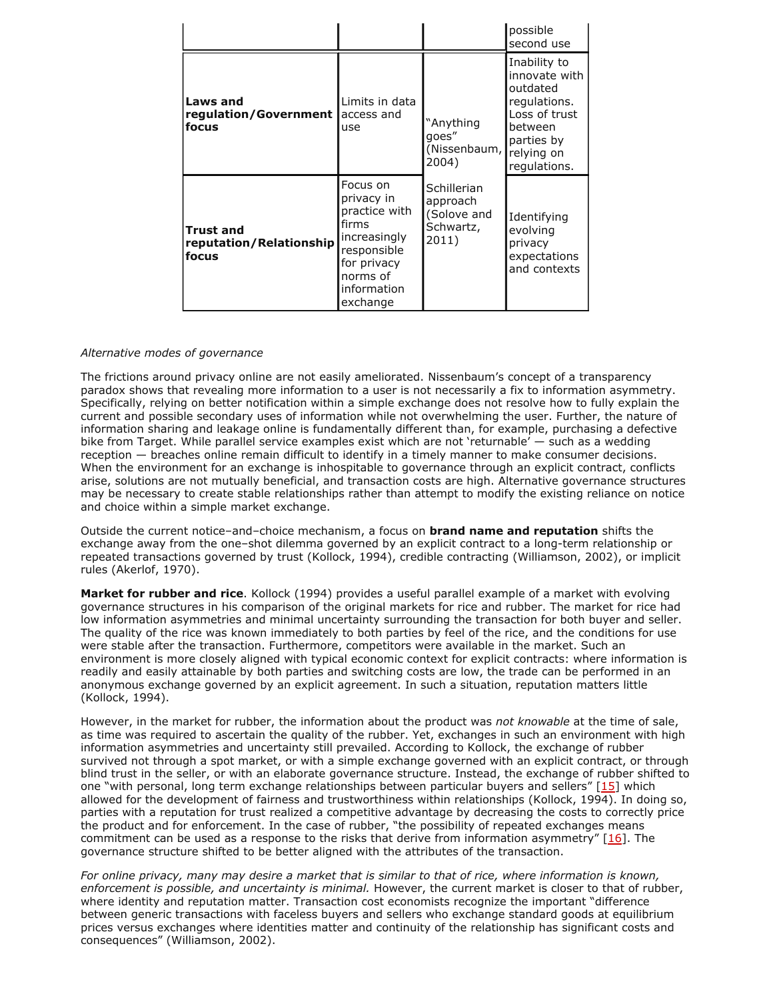|                                                      |                                                                                                                                       |                                                              | possible<br>second use                                                                                                            |
|------------------------------------------------------|---------------------------------------------------------------------------------------------------------------------------------------|--------------------------------------------------------------|-----------------------------------------------------------------------------------------------------------------------------------|
| <b>Laws and</b><br>regulation/Government  <br>focus  | Limits in data<br>access and<br>use                                                                                                   | "Anything<br>qoes"<br>(Nissenbaum,<br>2004)                  | Inability to<br>innovate with<br>outdated<br>regulations.<br>Loss of trust<br>between<br>parties by<br>relying on<br>regulations. |
| <b>Trust and</b><br>reputation/Relationship<br>focus | Focus on<br>privacy in<br>practice with<br>firms<br>increasingly<br>responsible<br>for privacy<br>norms of<br>information<br>exchange | Schillerian<br>approach<br>(Solove and<br>Schwartz,<br>2011) | Identifying<br>evolving<br>privacy<br>expectations<br>and contexts                                                                |

#### *Alternative modes of governance*

The frictions around privacy online are not easily ameliorated. Nissenbaum's concept of a transparency paradox shows that revealing more information to a user is not necessarily a fix to information asymmetry. Specifically, relying on better notification within a simple exchange does not resolve how to fully explain the current and possible secondary uses of information while not overwhelming the user. Further, the nature of information sharing and leakage online is fundamentally different than, for example, purchasing a defective bike from Target. While parallel service examples exist which are not 'returnable' — such as a wedding reception — breaches online remain difficult to identify in a timely manner to make consumer decisions. When the environment for an exchange is inhospitable to governance through an explicit contract, conflicts arise, solutions are not mutually beneficial, and transaction costs are high. Alternative governance structures may be necessary to create stable relationships rather than attempt to modify the existing reliance on notice and choice within a simple market exchange.

Outside the current notice–and–choice mechanism, a focus on **brand name and reputation** shifts the exchange away from the one–shot dilemma governed by an explicit contract to a long-term relationship or repeated transactions governed by trust (Kollock, 1994), credible contracting (Williamson, 2002), or implicit rules (Akerlof, 1970).

**Market for rubber and rice**. Kollock (1994) provides a useful parallel example of a market with evolving governance structures in his comparison of the original markets for rice and rubber. The market for rice had low information asymmetries and minimal uncertainty surrounding the transaction for both buyer and seller. The quality of the rice was known immediately to both parties by feel of the rice, and the conditions for use were stable after the transaction. Furthermore, competitors were available in the market. Such an environment is more closely aligned with typical economic context for explicit contracts: where information is readily and easily attainable by both parties and switching costs are low, the trade can be performed in an anonymous exchange governed by an explicit agreement. In such a situation, reputation matters little (Kollock, 1994).

However, in the market for rubber, the information about the product was *not knowable* at the time of sale, as time was required to ascertain the quality of the rubber. Yet, exchanges in such an environment with high information asymmetries and uncertainty still prevailed. According to Kollock, the exchange of rubber survived not through a spot market, or with a simple exchange governed with an explicit contract, or through blind trust in the seller, or with an elaborate governance structure. Instead, the exchange of rubber shifted to one "with personal, long term exchange relationships between particular buyers and sellers" [\[15\]](http://firstmonday.org/ojs/index.php/fm/rt/printerFriendly/4838/3802#15) which allowed for the development of fairness and trustworthiness within relationships (Kollock, 1994). In doing so, parties with a reputation for trust realized a competitive advantage by decreasing the costs to correctly price the product and for enforcement. In the case of rubber, "the possibility of repeated exchanges means commitment can be used as a response to the risks that derive from information asymmetry" [[16\]](http://firstmonday.org/ojs/index.php/fm/rt/printerFriendly/4838/3802#16). The governance structure shifted to be better aligned with the attributes of the transaction.

*For online privacy, many may desire a market that is similar to that of rice, where information is known, enforcement is possible, and uncertainty is minimal.* However, the current market is closer to that of rubber, where identity and reputation matter. Transaction cost economists recognize the important "difference between generic transactions with faceless buyers and sellers who exchange standard goods at equilibrium prices versus exchanges where identities matter and continuity of the relationship has significant costs and consequences" (Williamson, 2002).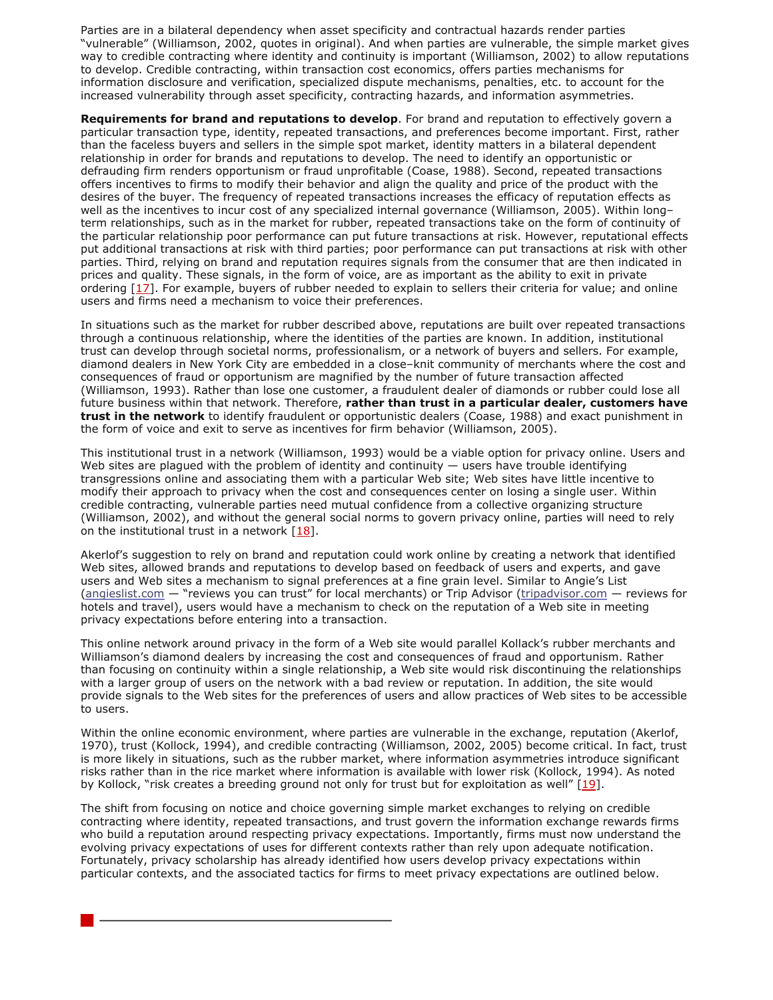Parties are in a bilateral dependency when asset specificity and contractual hazards render parties "vulnerable" (Williamson, 2002, quotes in original). And when parties are vulnerable, the simple market gives way to credible contracting where identity and continuity is important (Williamson, 2002) to allow reputations to develop. Credible contracting, within transaction cost economics, offers parties mechanisms for information disclosure and verification, specialized dispute mechanisms, penalties, etc. to account for the increased vulnerability through asset specificity, contracting hazards, and information asymmetries.

**Requirements for brand and reputations to develop**. For brand and reputation to effectively govern a particular transaction type, identity, repeated transactions, and preferences become important. First, rather than the faceless buyers and sellers in the simple spot market, identity matters in a bilateral dependent relationship in order for brands and reputations to develop. The need to identify an opportunistic or defrauding firm renders opportunism or fraud unprofitable (Coase, 1988). Second, repeated transactions offers incentives to firms to modify their behavior and align the quality and price of the product with the desires of the buyer. The frequency of repeated transactions increases the efficacy of reputation effects as well as the incentives to incur cost of any specialized internal governance (Williamson, 2005). Within longterm relationships, such as in the market for rubber, repeated transactions take on the form of continuity of the particular relationship poor performance can put future transactions at risk. However, reputational effects put additional transactions at risk with third parties; poor performance can put transactions at risk with other parties. Third, relying on brand and reputation requires signals from the consumer that are then indicated in prices and quality. These signals, in the form of voice, are as important as the ability to exit in private ordering [\[17\]](http://firstmonday.org/ojs/index.php/fm/rt/printerFriendly/4838/3802#17). For example, buyers of rubber needed to explain to sellers their criteria for value; and online users and firms need a mechanism to voice their preferences.

In situations such as the market for rubber described above, reputations are built over repeated transactions through a continuous relationship, where the identities of the parties are known. In addition, institutional trust can develop through societal norms, professionalism, or a network of buyers and sellers. For example, diamond dealers in New York City are embedded in a close–knit community of merchants where the cost and consequences of fraud or opportunism are magnified by the number of future transaction affected (Williamson, 1993). Rather than lose one customer, a fraudulent dealer of diamonds or rubber could lose all future business within that network. Therefore, **rather than trust in a particular dealer, customers have trust in the network** to identify fraudulent or opportunistic dealers (Coase, 1988) and exact punishment in the form of voice and exit to serve as incentives for firm behavior (Williamson, 2005).

This institutional trust in a network (Williamson, 1993) would be a viable option for privacy online. Users and Web sites are plagued with the problem of identity and continuity  $-$  users have trouble identifying transgressions online and associating them with a particular Web site; Web sites have little incentive to modify their approach to privacy when the cost and consequences center on losing a single user. Within credible contracting, vulnerable parties need mutual confidence from a collective organizing structure (Williamson, 2002), and without the general social norms to govern privacy online, parties will need to rely on the institutional trust in a network  $[18]$ .

Akerlof's suggestion to rely on brand and reputation could work online by creating a network that identified Web sites, allowed brands and reputations to develop based on feedback of users and experts, and gave users and Web sites a mechanism to signal preferences at a fine grain level. Similar to Angie's List [\(angieslist.com](http://www.angieslist.com/) — "reviews you can trust" for local merchants) or Trip Advisor [\(tripadvisor.com](http://www.tripadvisor.com/) — reviews for hotels and travel), users would have a mechanism to check on the reputation of a Web site in meeting privacy expectations before entering into a transaction.

This online network around privacy in the form of a Web site would parallel Kollack's rubber merchants and Williamson's diamond dealers by increasing the cost and consequences of fraud and opportunism. Rather than focusing on continuity within a single relationship, a Web site would risk discontinuing the relationships with a larger group of users on the network with a bad review or reputation. In addition, the site would provide signals to the Web sites for the preferences of users and allow practices of Web sites to be accessible to users.

Within the online economic environment, where parties are vulnerable in the exchange, reputation (Akerlof, 1970), trust (Kollock, 1994), and credible contracting (Williamson, 2002, 2005) become critical. In fact, trust is more likely in situations, such as the rubber market, where information asymmetries introduce significant risks rather than in the rice market where information is available with lower risk (Kollock, 1994). As noted by Kollock, "risk creates a breeding ground not only for trust but for exploitation as well" [\[19](http://firstmonday.org/ojs/index.php/fm/rt/printerFriendly/4838/3802#19)].

The shift from focusing on notice and choice governing simple market exchanges to relying on credible contracting where identity, repeated transactions, and trust govern the information exchange rewards firms who build a reputation around respecting privacy expectations. Importantly, firms must now understand the evolving privacy expectations of uses for different contexts rather than rely upon adequate notification. Fortunately, privacy scholarship has already identified how users develop privacy expectations within particular contexts, and the associated tactics for firms to meet privacy expectations are outlined below.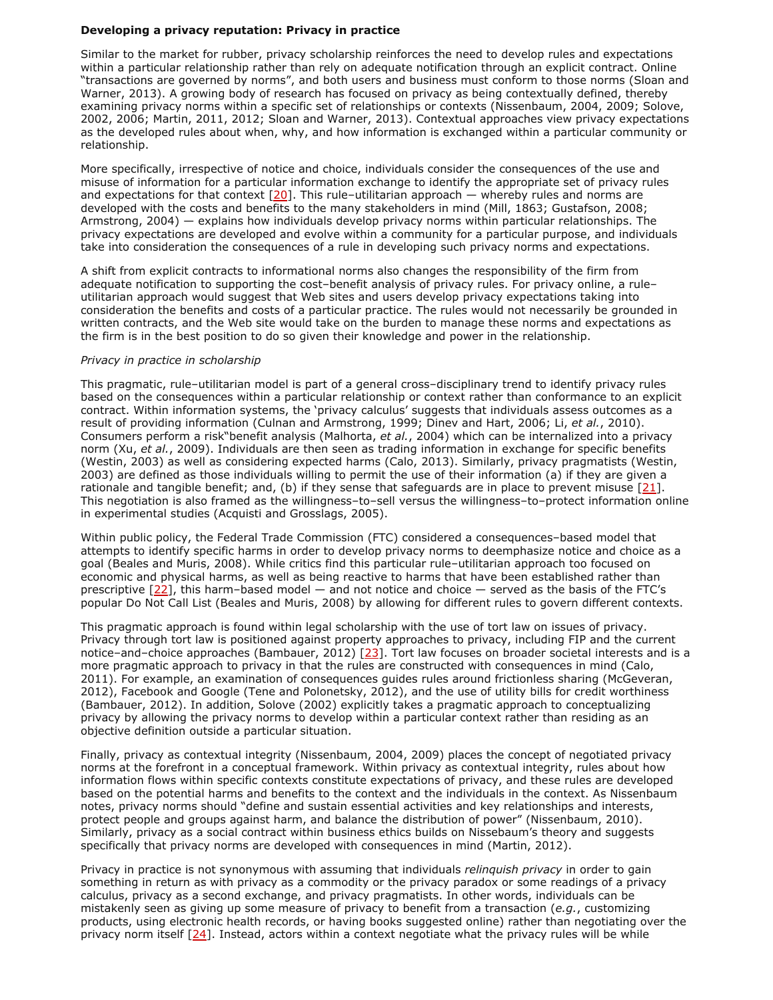## **Developing a privacy reputation: Privacy in practice**

Similar to the market for rubber, privacy scholarship reinforces the need to develop rules and expectations within a particular relationship rather than rely on adequate notification through an explicit contract. Online "transactions are governed by norms", and both users and business must conform to those norms (Sloan and Warner, 2013). A growing body of research has focused on privacy as being contextually defined, thereby examining privacy norms within a specific set of relationships or contexts (Nissenbaum, 2004, 2009; Solove, 2002, 2006; Martin, 2011, 2012; Sloan and Warner, 2013). Contextual approaches view privacy expectations as the developed rules about when, why, and how information is exchanged within a particular community or relationship.

More specifically, irrespective of notice and choice, individuals consider the consequences of the use and misuse of information for a particular information exchange to identify the appropriate set of privacy rules and expectations for that context  $[20]$  $[20]$ . This rule–utilitarian approach — whereby rules and norms are developed with the costs and benefits to the many stakeholders in mind (Mill, 1863; Gustafson, 2008; Armstrong, 2004) — explains how individuals develop privacy norms within particular relationships. The privacy expectations are developed and evolve within a community for a particular purpose, and individuals take into consideration the consequences of a rule in developing such privacy norms and expectations.

A shift from explicit contracts to informational norms also changes the responsibility of the firm from adequate notification to supporting the cost–benefit analysis of privacy rules. For privacy online, a rule– utilitarian approach would suggest that Web sites and users develop privacy expectations taking into consideration the benefits and costs of a particular practice. The rules would not necessarily be grounded in written contracts, and the Web site would take on the burden to manage these norms and expectations as the firm is in the best position to do so given their knowledge and power in the relationship.

#### *Privacy in practice in scholarship*

This pragmatic, rule–utilitarian model is part of a general cross–disciplinary trend to identify privacy rules based on the consequences within a particular relationship or context rather than conformance to an explicit contract. Within information systems, the 'privacy calculus' suggests that individuals assess outcomes as a result of providing information (Culnan and Armstrong, 1999; Dinev and Hart, 2006; Li, *et al.*, 2010). Consumers perform a risk"benefit analysis (Malhorta, *et al.*, 2004) which can be internalized into a privacy norm (Xu, *et al.*, 2009). Individuals are then seen as trading information in exchange for specific benefits (Westin, 2003) as well as considering expected harms (Calo, 2013). Similarly, privacy pragmatists (Westin, 2003) are defined as those individuals willing to permit the use of their information (a) if they are given a rationale and tangible benefit; and, (b) if they sense that safeguards are in place to prevent misuse  $[21]$  $[21]$ . This negotiation is also framed as the willingness–to–sell versus the willingness–to–protect information online in experimental studies (Acquisti and Grosslags, 2005).

Within public policy, the Federal Trade Commission (FTC) considered a consequences–based model that attempts to identify specific harms in order to develop privacy norms to deemphasize notice and choice as a goal (Beales and Muris, 2008). While critics find this particular rule–utilitarian approach too focused on economic and physical harms, as well as being reactive to harms that have been established rather than prescriptive [[22\]](http://firstmonday.org/ojs/index.php/fm/rt/printerFriendly/4838/3802#22), this harm–based model — and not notice and choice — served as the basis of the FTC's popular Do Not Call List (Beales and Muris, 2008) by allowing for different rules to govern different contexts.

This pragmatic approach is found within legal scholarship with the use of tort law on issues of privacy. Privacy through tort law is positioned against property approaches to privacy, including FIP and the current notice–and–choice approaches (Bambauer, 2012) [\[23](http://firstmonday.org/ojs/index.php/fm/rt/printerFriendly/4838/3802#23)]. Tort law focuses on broader societal interests and is a more pragmatic approach to privacy in that the rules are constructed with consequences in mind (Calo, 2011). For example, an examination of consequences guides rules around frictionless sharing (McGeveran, 2012), Facebook and Google (Tene and Polonetsky, 2012), and the use of utility bills for credit worthiness (Bambauer, 2012). In addition, Solove (2002) explicitly takes a pragmatic approach to conceptualizing privacy by allowing the privacy norms to develop within a particular context rather than residing as an objective definition outside a particular situation.

Finally, privacy as contextual integrity (Nissenbaum, 2004, 2009) places the concept of negotiated privacy norms at the forefront in a conceptual framework. Within privacy as contextual integrity, rules about how information flows within specific contexts constitute expectations of privacy, and these rules are developed based on the potential harms and benefits to the context and the individuals in the context. As Nissenbaum notes, privacy norms should "define and sustain essential activities and key relationships and interests, protect people and groups against harm, and balance the distribution of power" (Nissenbaum, 2010). Similarly, privacy as a social contract within business ethics builds on Nissebaum's theory and suggests specifically that privacy norms are developed with consequences in mind (Martin, 2012).

Privacy in practice is not synonymous with assuming that individuals *relinquish privacy* in order to gain something in return as with privacy as a commodity or the privacy paradox or some readings of a privacy calculus, privacy as a second exchange, and privacy pragmatists. In other words, individuals can be mistakenly seen as giving up some measure of privacy to benefit from a transaction (*e.g.*, customizing products, using electronic health records, or having books suggested online) rather than negotiating over the privacy norm itself [[24\]](http://firstmonday.org/ojs/index.php/fm/rt/printerFriendly/4838/3802#24). Instead, actors within a context negotiate what the privacy rules will be while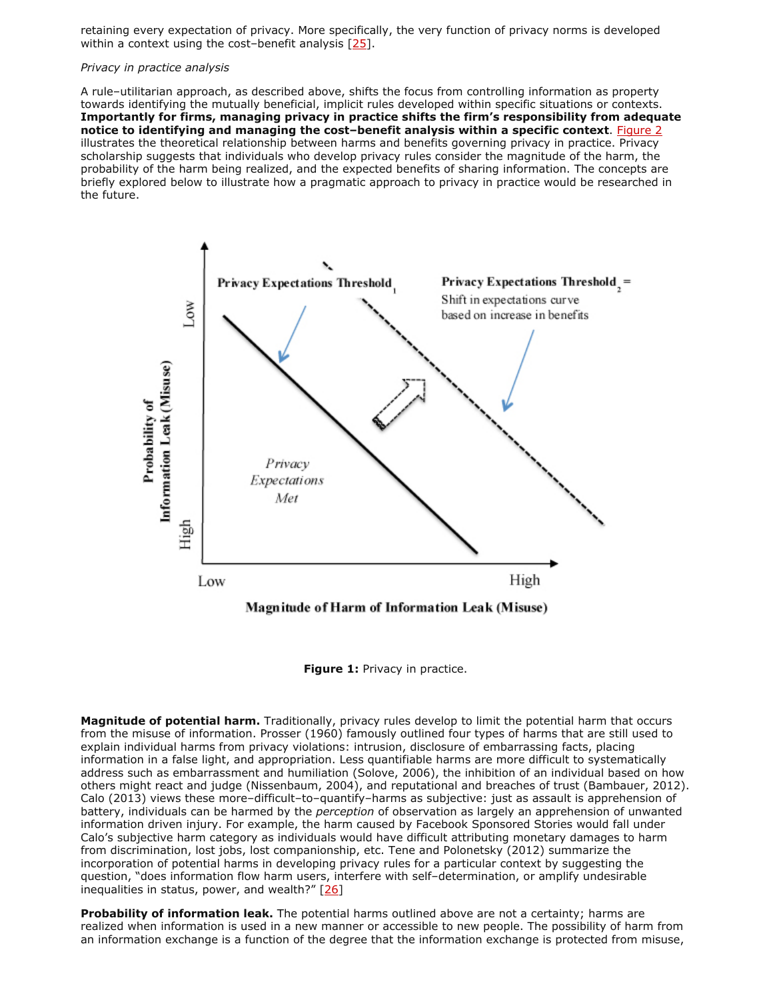retaining every expectation of privacy. More specifically, the very function of privacy norms is developed within a context using the cost-benefit analysis [\[25\]](http://firstmonday.org/ojs/index.php/fm/rt/printerFriendly/4838/3802#25).

## *Privacy in practice analysis*

A rule–utilitarian approach, as described above, shifts the focus from controlling information as property towards identifying the mutually beneficial, implicit rules developed within specific situations or contexts. **Importantly for firms, managing privacy in practice shifts the firm's responsibility from adequate notice to identifying and managing the cost–benefit analysis within a specific context**. [Figure 2](http://firstmonday.org/ojs/index.php/fm/rt/printerFriendly/4838/3802#fig2) illustrates the theoretical relationship between harms and benefits governing privacy in practice. Privacy scholarship suggests that individuals who develop privacy rules consider the magnitude of the harm, the probability of the harm being realized, and the expected benefits of sharing information. The concepts are briefly explored below to illustrate how a pragmatic approach to privacy in practice would be researched in the future.



**Figure 1:** Privacy in practice.

**Magnitude of potential harm.** Traditionally, privacy rules develop to limit the potential harm that occurs from the misuse of information. Prosser (1960) famously outlined four types of harms that are still used to explain individual harms from privacy violations: intrusion, disclosure of embarrassing facts, placing information in a false light, and appropriation. Less quantifiable harms are more difficult to systematically address such as embarrassment and humiliation (Solove, 2006), the inhibition of an individual based on how others might react and judge (Nissenbaum, 2004), and reputational and breaches of trust (Bambauer, 2012). Calo (2013) views these more–difficult–to–quantify–harms as subjective: just as assault is apprehension of battery, individuals can be harmed by the *perception* of observation as largely an apprehension of unwanted information driven injury. For example, the harm caused by Facebook Sponsored Stories would fall under Calo's subjective harm category as individuals would have difficult attributing monetary damages to harm from discrimination, lost jobs, lost companionship, etc. Tene and Polonetsky (2012) summarize the incorporation of potential harms in developing privacy rules for a particular context by suggesting the question, "does information flow harm users, interfere with self–determination, or amplify undesirable inequalities in status, power, and wealth?"  $[26]$ 

**Probability of information leak.** The potential harms outlined above are not a certainty; harms are realized when information is used in a new manner or accessible to new people. The possibility of harm from an information exchange is a function of the degree that the information exchange is protected from misuse,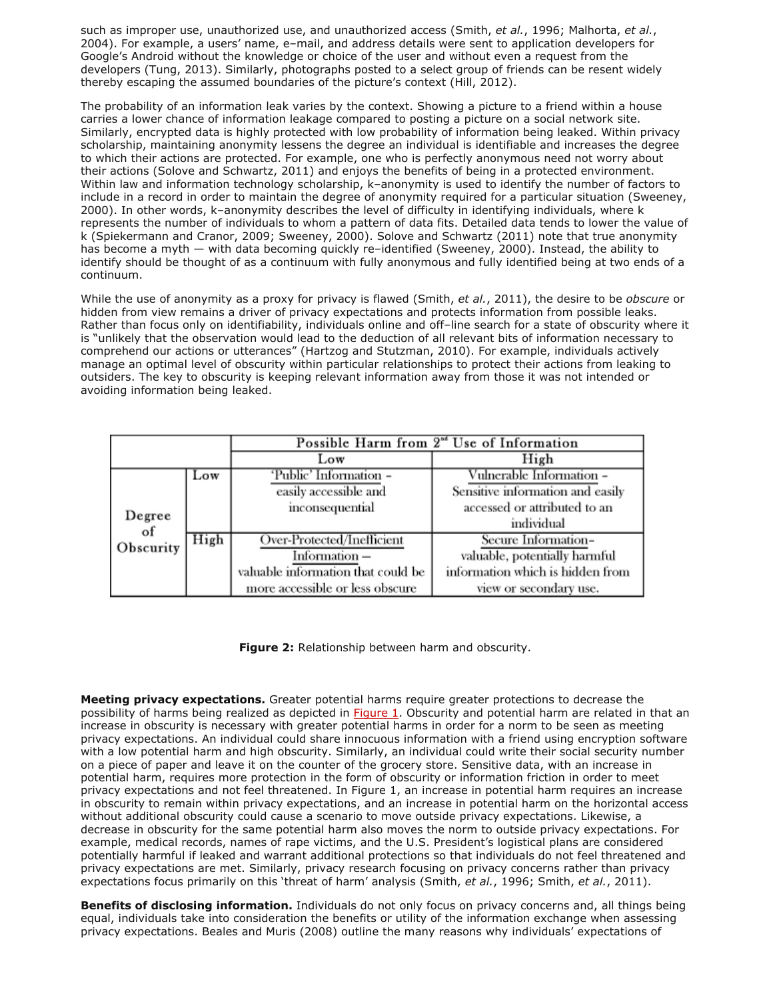such as improper use, unauthorized use, and unauthorized access (Smith, *et al.*, 1996; Malhorta, *et al.*, 2004). For example, a users' name, e–mail, and address details were sent to application developers for Google's Android without the knowledge or choice of the user and without even a request from the developers (Tung, 2013). Similarly, photographs posted to a select group of friends can be resent widely thereby escaping the assumed boundaries of the picture's context (Hill, 2012).

The probability of an information leak varies by the context. Showing a picture to a friend within a house carries a lower chance of information leakage compared to posting a picture on a social network site. Similarly, encrypted data is highly protected with low probability of information being leaked. Within privacy scholarship, maintaining anonymity lessens the degree an individual is identifiable and increases the degree to which their actions are protected. For example, one who is perfectly anonymous need not worry about their actions (Solove and Schwartz, 2011) and enjoys the benefits of being in a protected environment. Within law and information technology scholarship, k–anonymity is used to identify the number of factors to include in a record in order to maintain the degree of anonymity required for a particular situation (Sweeney, 2000). In other words, k–anonymity describes the level of difficulty in identifying individuals, where k represents the number of individuals to whom a pattern of data fits. Detailed data tends to lower the value of k (Spiekermann and Cranor, 2009; Sweeney, 2000). Solove and Schwartz (2011) note that true anonymity has become a myth — with data becoming quickly re-identified (Sweeney, 2000). Instead, the ability to identify should be thought of as a continuum with fully anonymous and fully identified being at two ends of a continuum.

While the use of anonymity as a proxy for privacy is flawed (Smith, *et al.*, 2011), the desire to be *obscure* or hidden from view remains a driver of privacy expectations and protects information from possible leaks. Rather than focus only on identifiability, individuals online and off–line search for a state of obscurity where it is "unlikely that the observation would lead to the deduction of all relevant bits of information necessary to comprehend our actions or utterances" (Hartzog and Stutzman, 2010). For example, individuals actively manage an optimal level of obscurity within particular relationships to protect their actions from leaking to outsiders. The key to obscurity is keeping relevant information away from those it was not intended or avoiding information being leaked.

|                           |      | Possible Harm from 2 <sup>od</sup> Use of Information |                                  |  |
|---------------------------|------|-------------------------------------------------------|----------------------------------|--|
|                           |      | Low                                                   | High                             |  |
|                           | Low  | 'Public' Information -                                | Vulnerable Information –         |  |
| Degree<br>of<br>Obscurity |      | easily accessible and                                 | Sensitive information and easily |  |
|                           |      | inconsequential                                       | accessed or attributed to an     |  |
|                           |      |                                                       | individual                       |  |
|                           | High | Over-Protected/Inefficient                            | Secure Information-              |  |
|                           |      | Information-                                          | valuable, potentially harmful    |  |
|                           |      | valuable information that could be                    | information which is hidden from |  |
|                           |      | more accessible or less obscure                       | view or secondary use.           |  |

**Figure 2:** Relationship between harm and obscurity.

**Meeting privacy expectations.** Greater potential harms require greater protections to decrease the possibility of harms being realized as depicted in [Figure 1.](http://firstmonday.org/ojs/index.php/fm/rt/printerFriendly/4838/3802#fig1) Obscurity and potential harm are related in that an increase in obscurity is necessary with greater potential harms in order for a norm to be seen as meeting privacy expectations. An individual could share innocuous information with a friend using encryption software with a low potential harm and high obscurity. Similarly, an individual could write their social security number on a piece of paper and leave it on the counter of the grocery store. Sensitive data, with an increase in potential harm, requires more protection in the form of obscurity or information friction in order to meet privacy expectations and not feel threatened. In Figure 1, an increase in potential harm requires an increase in obscurity to remain within privacy expectations, and an increase in potential harm on the horizontal access without additional obscurity could cause a scenario to move outside privacy expectations. Likewise, a decrease in obscurity for the same potential harm also moves the norm to outside privacy expectations. For example, medical records, names of rape victims, and the U.S. President's logistical plans are considered potentially harmful if leaked and warrant additional protections so that individuals do not feel threatened and privacy expectations are met. Similarly, privacy research focusing on privacy concerns rather than privacy expectations focus primarily on this 'threat of harm' analysis (Smith, *et al.*, 1996; Smith, *et al.*, 2011).

**Benefits of disclosing information.** Individuals do not only focus on privacy concerns and, all things being equal, individuals take into consideration the benefits or utility of the information exchange when assessing privacy expectations. Beales and Muris (2008) outline the many reasons why individuals' expectations of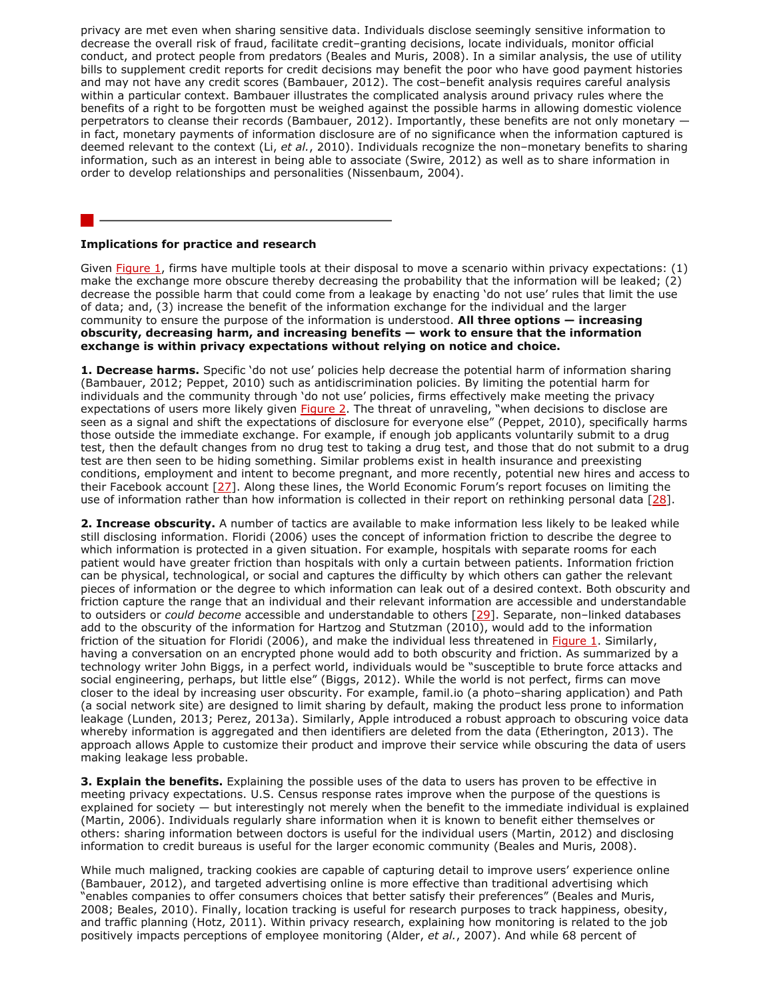privacy are met even when sharing sensitive data. Individuals disclose seemingly sensitive information to decrease the overall risk of fraud, facilitate credit–granting decisions, locate individuals, monitor official conduct, and protect people from predators (Beales and Muris, 2008). In a similar analysis, the use of utility bills to supplement credit reports for credit decisions may benefit the poor who have good payment histories and may not have any credit scores (Bambauer, 2012). The cost–benefit analysis requires careful analysis within a particular context. Bambauer illustrates the complicated analysis around privacy rules where the benefits of a right to be forgotten must be weighed against the possible harms in allowing domestic violence perpetrators to cleanse their records (Bambauer, 2012). Importantly, these benefits are not only monetary in fact, monetary payments of information disclosure are of no significance when the information captured is deemed relevant to the context (Li, *et al.*, 2010). Individuals recognize the non–monetary benefits to sharing information, such as an interest in being able to associate (Swire, 2012) as well as to share information in order to develop relationships and personalities (Nissenbaum, 2004).

### **Implications for practice and research**

Given **Figure 1**, firms have multiple tools at their disposal to move a scenario within privacy expectations: (1) make the exchange more obscure thereby decreasing the probability that the information will be leaked; (2) decrease the possible harm that could come from a leakage by enacting 'do not use' rules that limit the use of data; and, (3) increase the benefit of the information exchange for the individual and the larger community to ensure the purpose of the information is understood. **All three options — increasing obscurity, decreasing harm, and increasing benefits — work to ensure that the information exchange is within privacy expectations without relying on notice and choice.**

**1. Decrease harms.** Specific 'do not use' policies help decrease the potential harm of information sharing (Bambauer, 2012; Peppet, 2010) such as antidiscrimination policies. By limiting the potential harm for individuals and the community through 'do not use' policies, firms effectively make meeting the privacy expectations of users more likely given [Figure 2](http://firstmonday.org/ojs/index.php/fm/rt/printerFriendly/4838/3802#fig2). The threat of unraveling, "when decisions to disclose are seen as a signal and shift the expectations of disclosure for everyone else" (Peppet, 2010), specifically harms those outside the immediate exchange. For example, if enough job applicants voluntarily submit to a drug test, then the default changes from no drug test to taking a drug test, and those that do not submit to a drug test are then seen to be hiding something. Similar problems exist in health insurance and preexisting conditions, employment and intent to become pregnant, and more recently, potential new hires and access to their Facebook account [\[27\]](http://firstmonday.org/ojs/index.php/fm/rt/printerFriendly/4838/3802#27). Along these lines, the World Economic Forum's report focuses on limiting the use of information rather than how information is collected in their report on rethinking personal data [\[28\]](http://firstmonday.org/ojs/index.php/fm/rt/printerFriendly/4838/3802#28).

**2. Increase obscurity.** A number of tactics are available to make information less likely to be leaked while still disclosing information. Floridi (2006) uses the concept of information friction to describe the degree to which information is protected in a given situation. For example, hospitals with separate rooms for each patient would have greater friction than hospitals with only a curtain between patients. Information friction can be physical, technological, or social and captures the difficulty by which others can gather the relevant pieces of information or the degree to which information can leak out of a desired context. Both obscurity and friction capture the range that an individual and their relevant information are accessible and understandable to outsiders or *could become* accessible and understandable to others [\[29\]](http://firstmonday.org/ojs/index.php/fm/rt/printerFriendly/4838/3802#29). Separate, non–linked databases add to the obscurity of the information for Hartzog and Stutzman (2010), would add to the information friction of the situation for Floridi (2006), and make the individual less threatened in [Figure 1.](http://firstmonday.org/ojs/index.php/fm/rt/printerFriendly/4838/3802#fig1) Similarly, having a conversation on an encrypted phone would add to both obscurity and friction. As summarized by a technology writer John Biggs, in a perfect world, individuals would be "susceptible to brute force attacks and social engineering, perhaps, but little else" (Biggs, 2012). While the world is not perfect, firms can move closer to the ideal by increasing user obscurity. For example, famil.io (a photo–sharing application) and Path (a social network site) are designed to limit sharing by default, making the product less prone to information leakage (Lunden, 2013; Perez, 2013a). Similarly, Apple introduced a robust approach to obscuring voice data whereby information is aggregated and then identifiers are deleted from the data (Etherington, 2013). The approach allows Apple to customize their product and improve their service while obscuring the data of users making leakage less probable.

**3. Explain the benefits.** Explaining the possible uses of the data to users has proven to be effective in meeting privacy expectations. U.S. Census response rates improve when the purpose of the questions is explained for society — but interestingly not merely when the benefit to the immediate individual is explained (Martin, 2006). Individuals regularly share information when it is known to benefit either themselves or others: sharing information between doctors is useful for the individual users (Martin, 2012) and disclosing information to credit bureaus is useful for the larger economic community (Beales and Muris, 2008).

While much maligned, tracking cookies are capable of capturing detail to improve users' experience online (Bambauer, 2012), and targeted advertising online is more effective than traditional advertising which "enables companies to offer consumers choices that better satisfy their preferences" (Beales and Muris, 2008; Beales, 2010). Finally, location tracking is useful for research purposes to track happiness, obesity, and traffic planning (Hotz, 2011). Within privacy research, explaining how monitoring is related to the job positively impacts perceptions of employee monitoring (Alder, *et al.*, 2007). And while 68 percent of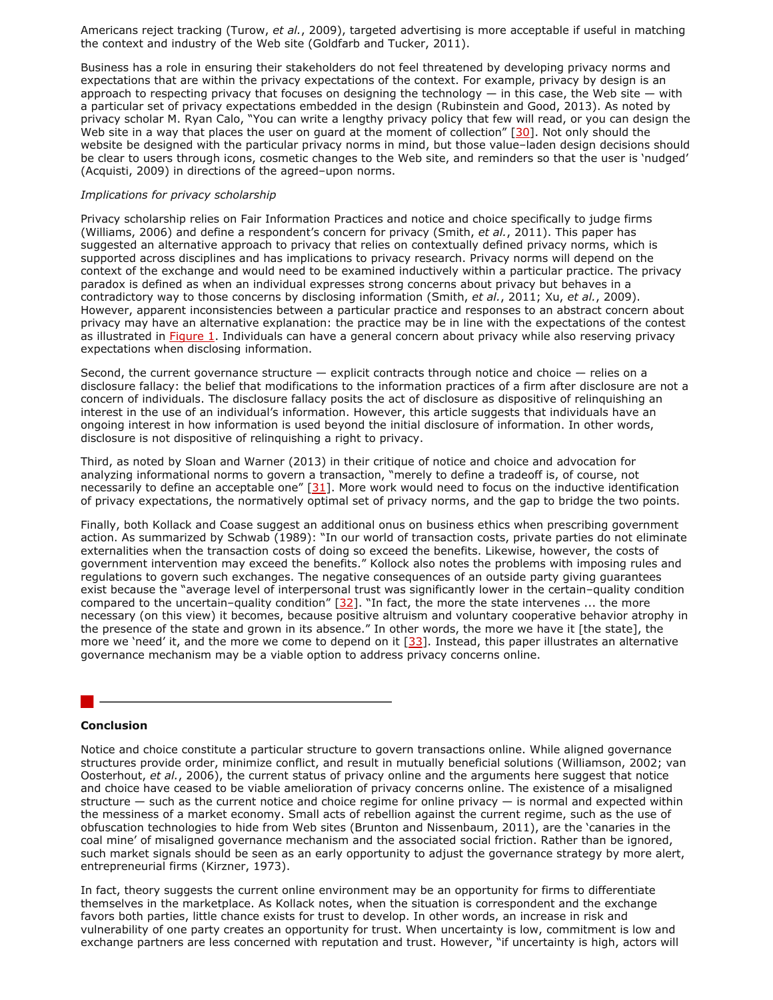Americans reject tracking (Turow, *et al.*, 2009), targeted advertising is more acceptable if useful in matching the context and industry of the Web site (Goldfarb and Tucker, 2011).

Business has a role in ensuring their stakeholders do not feel threatened by developing privacy norms and expectations that are within the privacy expectations of the context. For example, privacy by design is an approach to respecting privacy that focuses on designing the technology  $-$  in this case, the Web site  $-$  with a particular set of privacy expectations embedded in the design (Rubinstein and Good, 2013). As noted by privacy scholar M. Ryan Calo, "You can write a lengthy privacy policy that few will read, or you can design the Web site in a way that places the user on guard at the moment of collection" [\[30\]](http://firstmonday.org/ojs/index.php/fm/rt/printerFriendly/4838/3802#30). Not only should the website be designed with the particular privacy norms in mind, but those value–laden design decisions should be clear to users through icons, cosmetic changes to the Web site, and reminders so that the user is 'nudged' (Acquisti, 2009) in directions of the agreed–upon norms.

#### *Implications for privacy scholarship*

Privacy scholarship relies on Fair Information Practices and notice and choice specifically to judge firms (Williams, 2006) and define a respondent's concern for privacy (Smith, *et al.*, 2011). This paper has suggested an alternative approach to privacy that relies on contextually defined privacy norms, which is supported across disciplines and has implications to privacy research. Privacy norms will depend on the context of the exchange and would need to be examined inductively within a particular practice. The privacy paradox is defined as when an individual expresses strong concerns about privacy but behaves in a contradictory way to those concerns by disclosing information (Smith, *et al.*, 2011; Xu, *et al.*, 2009). However, apparent inconsistencies between a particular practice and responses to an abstract concern about privacy may have an alternative explanation: the practice may be in line with the expectations of the contest as illustrated in [Figure 1.](http://firstmonday.org/ojs/index.php/fm/rt/printerFriendly/4838/3802#fig1) Individuals can have a general concern about privacy while also reserving privacy expectations when disclosing information.

Second, the current governance structure — explicit contracts through notice and choice — relies on a disclosure fallacy: the belief that modifications to the information practices of a firm after disclosure are not a concern of individuals. The disclosure fallacy posits the act of disclosure as dispositive of relinquishing an interest in the use of an individual's information. However, this article suggests that individuals have an ongoing interest in how information is used beyond the initial disclosure of information. In other words, disclosure is not dispositive of relinquishing a right to privacy.

Third, as noted by Sloan and Warner (2013) in their critique of notice and choice and advocation for analyzing informational norms to govern a transaction, "merely to define a tradeoff is, of course, not necessarily to define an acceptable one"  $[31]$ . More work would need to focus on the inductive identification of privacy expectations, the normatively optimal set of privacy norms, and the gap to bridge the two points.

Finally, both Kollack and Coase suggest an additional onus on business ethics when prescribing government action. As summarized by Schwab (1989): "In our world of transaction costs, private parties do not eliminate externalities when the transaction costs of doing so exceed the benefits. Likewise, however, the costs of government intervention may exceed the benefits." Kollock also notes the problems with imposing rules and regulations to govern such exchanges. The negative consequences of an outside party giving guarantees exist because the "average level of interpersonal trust was significantly lower in the certain–quality condition compared to the uncertain–quality condition"  $[32]$ . "In fact, the more the state intervenes ... the more necessary (on this view) it becomes, because positive altruism and voluntary cooperative behavior atrophy in the presence of the state and grown in its absence." In other words, the more we have it [the state], the more we 'need' it, and the more we come to depend on it  $[33]$ . Instead, this paper illustrates an alternative governance mechanism may be a viable option to address privacy concerns online.

#### **Conclusion**

Notice and choice constitute a particular structure to govern transactions online. While aligned governance structures provide order, minimize conflict, and result in mutually beneficial solutions (Williamson, 2002; van Oosterhout, *et al.*, 2006), the current status of privacy online and the arguments here suggest that notice and choice have ceased to be viable amelioration of privacy concerns online. The existence of a misaligned structure  $-$  such as the current notice and choice regime for online privacy  $-$  is normal and expected within the messiness of a market economy. Small acts of rebellion against the current regime, such as the use of obfuscation technologies to hide from Web sites (Brunton and Nissenbaum, 2011), are the 'canaries in the coal mine' of misaligned governance mechanism and the associated social friction. Rather than be ignored, such market signals should be seen as an early opportunity to adjust the governance strategy by more alert, entrepreneurial firms (Kirzner, 1973).

In fact, theory suggests the current online environment may be an opportunity for firms to differentiate themselves in the marketplace. As Kollack notes, when the situation is correspondent and the exchange favors both parties, little chance exists for trust to develop. In other words, an increase in risk and vulnerability of one party creates an opportunity for trust. When uncertainty is low, commitment is low and exchange partners are less concerned with reputation and trust. However, "if uncertainty is high, actors will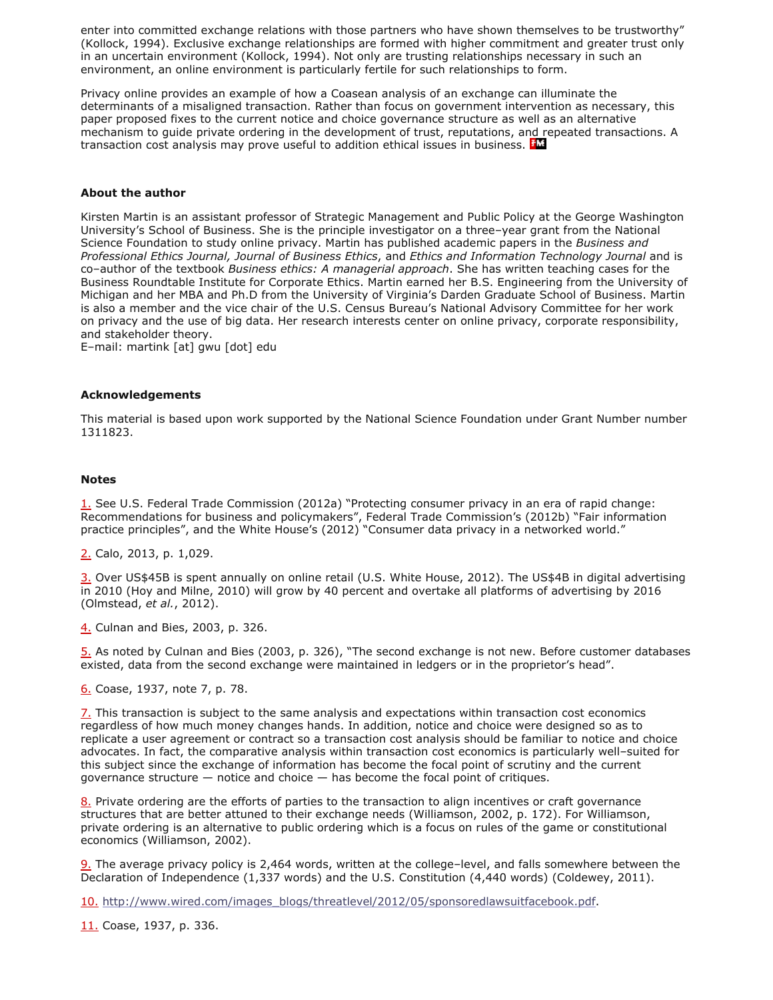enter into committed exchange relations with those partners who have shown themselves to be trustworthy" (Kollock, 1994). Exclusive exchange relationships are formed with higher commitment and greater trust only in an uncertain environment (Kollock, 1994). Not only are trusting relationships necessary in such an environment, an online environment is particularly fertile for such relationships to form.

Privacy online provides an example of how a Coasean analysis of an exchange can illuminate the determinants of a misaligned transaction. Rather than focus on government intervention as necessary, this paper proposed fixes to the current notice and choice governance structure as well as an alternative mechanism to guide private ordering in the development of trust, reputations, and repeated transactions. A transaction cost analysis may prove useful to addition ethical issues in business. *IN* 

## **About the author**

Kirsten Martin is an assistant professor of Strategic Management and Public Policy at the George Washington University's School of Business. She is the principle investigator on a three–year grant from the National Science Foundation to study online privacy. Martin has published academic papers in the *Business and Professional Ethics Journal, Journal of Business Ethics*, and *Ethics and Information Technology Journal* and is co–author of the textbook *Business ethics: A managerial approach*. She has written teaching cases for the Business Roundtable Institute for Corporate Ethics. Martin earned her B.S. Engineering from the University of Michigan and her MBA and Ph.D from the University of Virginia's Darden Graduate School of Business. Martin is also a member and the vice chair of the U.S. Census Bureau's National Advisory Committee for her work on privacy and the use of big data. Her research interests center on online privacy, corporate responsibility, and stakeholder theory.

E–mail: martink [at] gwu [dot] edu

#### **Acknowledgements**

This material is based upon work supported by the National Science Foundation under Grant Number number 1311823.

#### **Notes**

[1.](http://firstmonday.org/ojs/index.php/fm/rt/printerFriendly/4838/3802#1a) See U.S. Federal Trade Commission (2012a) "Protecting consumer privacy in an era of rapid change: Recommendations for business and policymakers", Federal Trade Commission's (2012b) "Fair information practice principles", and the White House's (2012) "Consumer data privacy in a networked world."

[2.](http://firstmonday.org/ojs/index.php/fm/rt/printerFriendly/4838/3802#2a) Calo, 2013, p. 1,029.

[3.](http://firstmonday.org/ojs/index.php/fm/rt/printerFriendly/4838/3802#3a) Over US\$45B is spent annually on online retail (U.S. White House, 2012). The US\$4B in digital advertising in 2010 (Hoy and Milne, 2010) will grow by 40 percent and overtake all platforms of advertising by 2016 (Olmstead, *et al.*, 2012).

[4.](http://firstmonday.org/ojs/index.php/fm/rt/printerFriendly/4838/3802#4a) Culnan and Bies, 2003, p. 326.

[5.](http://firstmonday.org/ojs/index.php/fm/rt/printerFriendly/4838/3802#5a) As noted by Culnan and Bies (2003, p. 326), "The second exchange is not new. Before customer databases existed, data from the second exchange were maintained in ledgers or in the proprietor's head".

[6.](http://firstmonday.org/ojs/index.php/fm/rt/printerFriendly/4838/3802#6a) Coase, 1937, note 7, p. 78.

[7.](http://firstmonday.org/ojs/index.php/fm/rt/printerFriendly/4838/3802#7a) This transaction is subject to the same analysis and expectations within transaction cost economics regardless of how much money changes hands. In addition, notice and choice were designed so as to replicate a user agreement or contract so a transaction cost analysis should be familiar to notice and choice advocates. In fact, the comparative analysis within transaction cost economics is particularly well–suited for this subject since the exchange of information has become the focal point of scrutiny and the current governance structure  $-$  notice and choice  $-$  has become the focal point of critiques.

[8.](http://firstmonday.org/ojs/index.php/fm/rt/printerFriendly/4838/3802#8a) Private ordering are the efforts of parties to the transaction to align incentives or craft governance structures that are better attuned to their exchange needs (Williamson, 2002, p. 172). For Williamson, private ordering is an alternative to public ordering which is a focus on rules of the game or constitutional economics (Williamson, 2002).

[9.](http://firstmonday.org/ojs/index.php/fm/rt/printerFriendly/4838/3802#9a) The average privacy policy is 2,464 words, written at the college–level, and falls somewhere between the Declaration of Independence (1,337 words) and the U.S. Constitution (4,440 words) (Coldewey, 2011).

[10.](http://firstmonday.org/ojs/index.php/fm/rt/printerFriendly/4838/3802#10a) [http://www.wired.com/images\\_blogs/threatlevel/2012/05/sponsoredlawsuitfacebook.pdf.](http://www.wired.com/images_blogs/threatlevel/2012/05/sponsoredlawsuitfacebook.pdf)

[11.](http://firstmonday.org/ojs/index.php/fm/rt/printerFriendly/4838/3802#11a) Coase, 1937, p. 336.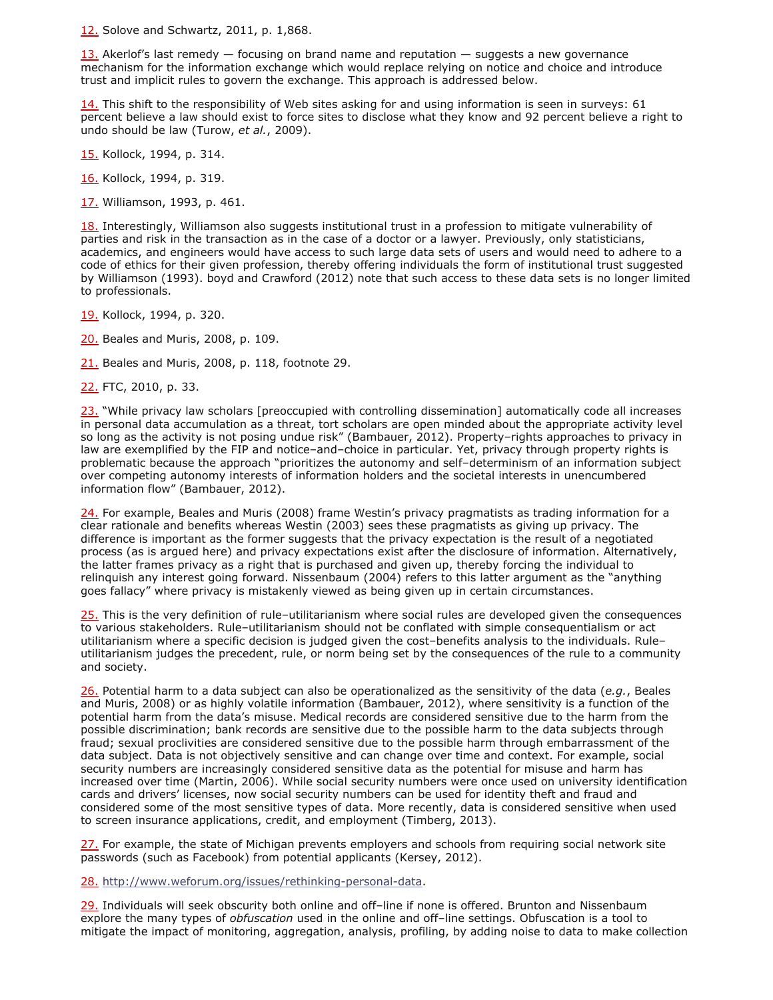[12.](http://firstmonday.org/ojs/index.php/fm/rt/printerFriendly/4838/3802#12a) Solove and Schwartz, 2011, p. 1,868.

 $13.$  Akerlof's last remedy  $-$  focusing on brand name and reputation  $-$  suggests a new governance mechanism for the information exchange which would replace relying on notice and choice and introduce trust and implicit rules to govern the exchange. This approach is addressed below.

[14.](http://firstmonday.org/ojs/index.php/fm/rt/printerFriendly/4838/3802#14a) This shift to the responsibility of Web sites asking for and using information is seen in surveys: 61 percent believe a law should exist to force sites to disclose what they know and 92 percent believe a right to undo should be law (Turow, *et al.*, 2009).

[15.](http://firstmonday.org/ojs/index.php/fm/rt/printerFriendly/4838/3802#15a) Kollock, 1994, p. 314.

[16.](http://firstmonday.org/ojs/index.php/fm/rt/printerFriendly/4838/3802#16a) Kollock, 1994, p. 319.

[17.](http://firstmonday.org/ojs/index.php/fm/rt/printerFriendly/4838/3802#17a) Williamson, 1993, p. 461.

[18.](http://firstmonday.org/ojs/index.php/fm/rt/printerFriendly/4838/3802#18a) Interestingly, Williamson also suggests institutional trust in a profession to mitigate vulnerability of parties and risk in the transaction as in the case of a doctor or a lawyer. Previously, only statisticians, academics, and engineers would have access to such large data sets of users and would need to adhere to a code of ethics for their given profession, thereby offering individuals the form of institutional trust suggested by Williamson (1993). boyd and Crawford (2012) note that such access to these data sets is no longer limited to professionals.

[19.](http://firstmonday.org/ojs/index.php/fm/rt/printerFriendly/4838/3802#19a) Kollock, 1994, p. 320.

[20.](http://firstmonday.org/ojs/index.php/fm/rt/printerFriendly/4838/3802#20a) Beales and Muris, 2008, p. 109.

[21.](http://firstmonday.org/ojs/index.php/fm/rt/printerFriendly/4838/3802#21a) Beales and Muris, 2008, p. 118, footnote 29.

[22.](http://firstmonday.org/ojs/index.php/fm/rt/printerFriendly/4838/3802#22a) FTC, 2010, p. 33.

[23.](http://firstmonday.org/ojs/index.php/fm/rt/printerFriendly/4838/3802#23a) "While privacy law scholars [preoccupied with controlling dissemination] automatically code all increases in personal data accumulation as a threat, tort scholars are open minded about the appropriate activity level so long as the activity is not posing undue risk" (Bambauer, 2012). Property–rights approaches to privacy in law are exemplified by the FIP and notice–and–choice in particular. Yet, privacy through property rights is problematic because the approach "prioritizes the autonomy and self–determinism of an information subject over competing autonomy interests of information holders and the societal interests in unencumbered information flow" (Bambauer, 2012).

[24.](http://firstmonday.org/ojs/index.php/fm/rt/printerFriendly/4838/3802#24a) For example, Beales and Muris (2008) frame Westin's privacy pragmatists as trading information for a clear rationale and benefits whereas Westin (2003) sees these pragmatists as giving up privacy. The difference is important as the former suggests that the privacy expectation is the result of a negotiated process (as is argued here) and privacy expectations exist after the disclosure of information. Alternatively, the latter frames privacy as a right that is purchased and given up, thereby forcing the individual to relinquish any interest going forward. Nissenbaum (2004) refers to this latter argument as the "anything goes fallacy" where privacy is mistakenly viewed as being given up in certain circumstances.

[25.](http://firstmonday.org/ojs/index.php/fm/rt/printerFriendly/4838/3802#25a) This is the very definition of rule-utilitarianism where social rules are developed given the consequences to various stakeholders. Rule–utilitarianism should not be conflated with simple consequentialism or act utilitarianism where a specific decision is judged given the cost–benefits analysis to the individuals. Rule– utilitarianism judges the precedent, rule, or norm being set by the consequences of the rule to a community and society.

[26.](http://firstmonday.org/ojs/index.php/fm/rt/printerFriendly/4838/3802#26a) Potential harm to a data subject can also be operationalized as the sensitivity of the data (*e.g.*, Beales and Muris, 2008) or as highly volatile information (Bambauer, 2012), where sensitivity is a function of the potential harm from the data's misuse. Medical records are considered sensitive due to the harm from the possible discrimination; bank records are sensitive due to the possible harm to the data subjects through fraud; sexual proclivities are considered sensitive due to the possible harm through embarrassment of the data subject. Data is not objectively sensitive and can change over time and context. For example, social security numbers are increasingly considered sensitive data as the potential for misuse and harm has increased over time (Martin, 2006). While social security numbers were once used on university identification cards and drivers' licenses, now social security numbers can be used for identity theft and fraud and considered some of the most sensitive types of data. More recently, data is considered sensitive when used to screen insurance applications, credit, and employment (Timberg, 2013).

[27.](http://firstmonday.org/ojs/index.php/fm/rt/printerFriendly/4838/3802#27a) For example, the state of Michigan prevents employers and schools from requiring social network site passwords (such as Facebook) from potential applicants (Kersey, 2012).

[28.](http://firstmonday.org/ojs/index.php/fm/rt/printerFriendly/4838/3802#28a) [http://www.weforum.org/issues/rethinking-personal-data.](http://www.weforum.org/issues/rethinking-personal-data)

[29.](http://firstmonday.org/ojs/index.php/fm/rt/printerFriendly/4838/3802#29a) Individuals will seek obscurity both online and off–line if none is offered. Brunton and Nissenbaum explore the many types of *obfuscation* used in the online and off–line settings. Obfuscation is a tool to mitigate the impact of monitoring, aggregation, analysis, profiling, by adding noise to data to make collection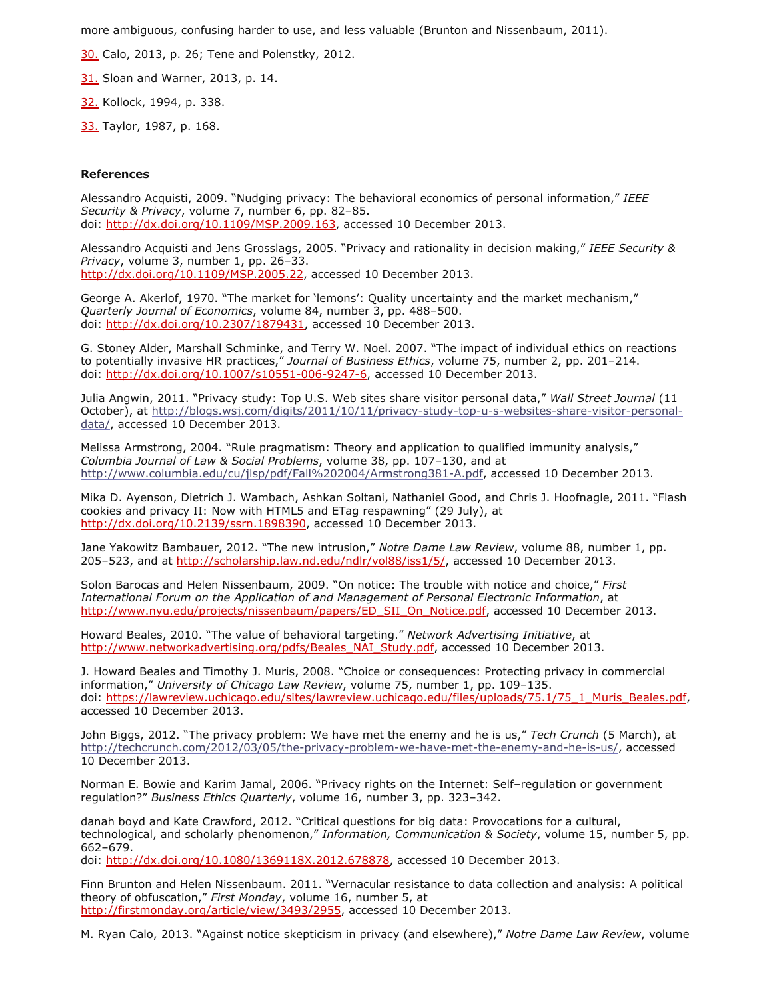more ambiguous, confusing harder to use, and less valuable (Brunton and Nissenbaum, 2011).

[30.](http://firstmonday.org/ojs/index.php/fm/rt/printerFriendly/4838/3802#30a) Calo, 2013, p. 26; Tene and Polenstky, 2012.

[31.](http://firstmonday.org/ojs/index.php/fm/rt/printerFriendly/4838/3802#31a) Sloan and Warner, 2013, p. 14.

[32.](http://firstmonday.org/ojs/index.php/fm/rt/printerFriendly/4838/3802#32a) Kollock, 1994, p. 338.

[33.](http://firstmonday.org/ojs/index.php/fm/rt/printerFriendly/4838/3802#33a) Taylor, 1987, p. 168.

#### **References**

Alessandro Acquisti, 2009. "Nudging privacy: The behavioral economics of personal information," *IEEE Security & Privacy*, volume 7, number 6, pp. 82–85. doi: [http://dx.doi.org/10.1109/MSP.2009.163,](http://dx.doi.org/10.1109/MSP.2009.163) accessed 10 December 2013.

Alessandro Acquisti and Jens Grosslags, 2005. "Privacy and rationality in decision making," *IEEE Security & Privacy*, volume 3, number 1, pp. 26–33. <http://dx.doi.org/10.1109/MSP.2005.22>, accessed 10 December 2013.

George A. Akerlof, 1970. "The market for 'lemons': Quality uncertainty and the market mechanism," *Quarterly Journal of Economics*, volume 84, number 3, pp. 488–500. doi: <http://dx.doi.org/10.2307/1879431>, accessed 10 December 2013.

G. Stoney Alder, Marshall Schminke, and Terry W. Noel. 2007. "The impact of individual ethics on reactions to potentially invasive HR practices," *Journal of Business Ethics*, volume 75, number 2, pp. 201–214. doi: [http://dx.doi.org/10.1007/s10551-006-9247-6,](http://dx.doi.org/10.1007/s10551-006-9247-6) accessed 10 December 2013.

Julia Angwin, 2011. "Privacy study: Top U.S. Web sites share visitor personal data," *Wall Street Journal* (11 [October\), at http://blogs.wsj.com/digits/2011/10/11/privacy-study-top-u-s-websites-share-visitor-personal](http://blogs.wsj.com/digits/2011/10/11/privacy-study-top-u-s-websites-share-visitor-personal-data/)data/, accessed 10 December 2013.

Melissa Armstrong, 2004. "Rule pragmatism: Theory and application to qualified immunity analysis," *Columbia Journal of Law & Social Problems*, volume 38, pp. 107–130, and at [http://www.columbia.edu/cu/jlsp/pdf/Fall%202004/Armstrong381-A.pdf,](http://www.columbia.edu/cu/jlsp/pdf/Fall%202004/Armstrong381-A.pdf) accessed 10 December 2013.

Mika D. Ayenson, Dietrich J. Wambach, Ashkan Soltani, Nathaniel Good, and Chris J. Hoofnagle, 2011. "Flash cookies and privacy II: Now with HTML5 and ETag respawning" (29 July), at [http://dx.doi.org/10.2139/ssrn.1898390,](http://dx.doi.org/10.2139/ssrn.1898390) accessed 10 December 2013.

Jane Yakowitz Bambauer, 2012. "The new intrusion," *Notre Dame Law Review*, volume 88, number 1, pp. 205–523, and at [http://scholarship.law.nd.edu/ndlr/vol88/iss1/5/,](http://scholarship.law.nd.edu/ndlr/vol88/iss1/5/) accessed 10 December 2013.

Solon Barocas and Helen Nissenbaum, 2009. "On notice: The trouble with notice and choice," *First International Forum on the Application of and Management of Personal Electronic Information*, at [http://www.nyu.edu/projects/nissenbaum/papers/ED\\_SII\\_On\\_Notice.pdf](http://www.nyu.edu/projects/nissenbaum/papers/ED_SII_On_Notice.pdf), accessed 10 December 2013.

Howard Beales, 2010. "The value of behavioral targeting." *Network Advertising Initiative*, at [http://www.networkadvertising.org/pdfs/Beales\\_NAI\\_Study.pdf,](http://www.networkadvertising.org/pdfs/Beales_NAI_Study.pdf) accessed 10 December 2013.

J. Howard Beales and Timothy J. Muris, 2008. "Choice or consequences: Protecting privacy in commercial information," *University of Chicago Law Review*, volume 75, number 1, pp. 109–135. doi: [https://lawreview.uchicago.edu/sites/lawreview.uchicago.edu/files/uploads/75.1/75\\_1\\_Muris\\_Beales.pdf,](hhttps://lawreview.uchicago.edu/sites/lawreview.uchicago.edu/files/uploads/75.1/75_1_Muris_Beales.pdf) accessed 10 December 2013.

John Biggs, 2012. "The privacy problem: We have met the enemy and he is us," *Tech Crunch* (5 March), at [http://techcrunch.com/2012/03/05/the-privacy-problem-we-have-met-the-enemy-and-he-is-us/,](http://techcrunch.com/2012/03/05/the-privacy-problem-we-have-met-the-enemy-and-he-is-us/) accessed 10 December 2013.

Norman E. Bowie and Karim Jamal, 2006. "Privacy rights on the Internet: Self–regulation or government regulation?" *Business Ethics Quarterly*, volume 16, number 3, pp. 323–342.

danah boyd and Kate Crawford, 2012. "Critical questions for big data: Provocations for a cultural, technological, and scholarly phenomenon," *Information, Communication & Society*, volume 15, number 5, pp. 662–679.

doi: [http://dx.doi.org/10.1080/1369118X.2012.678878,](http://dx.doi.org/10.1080/1369118X.2012.678878) accessed 10 December 2013.

Finn Brunton and Helen Nissenbaum. 2011. "Vernacular resistance to data collection and analysis: A political theory of obfuscation," *First Monday*, volume 16, number 5, at <http://firstmonday.org/article/view/3493/2955>, accessed 10 December 2013.

M. Ryan Calo, 2013. "Against notice skepticism in privacy (and elsewhere)," *Notre Dame Law Review*, volume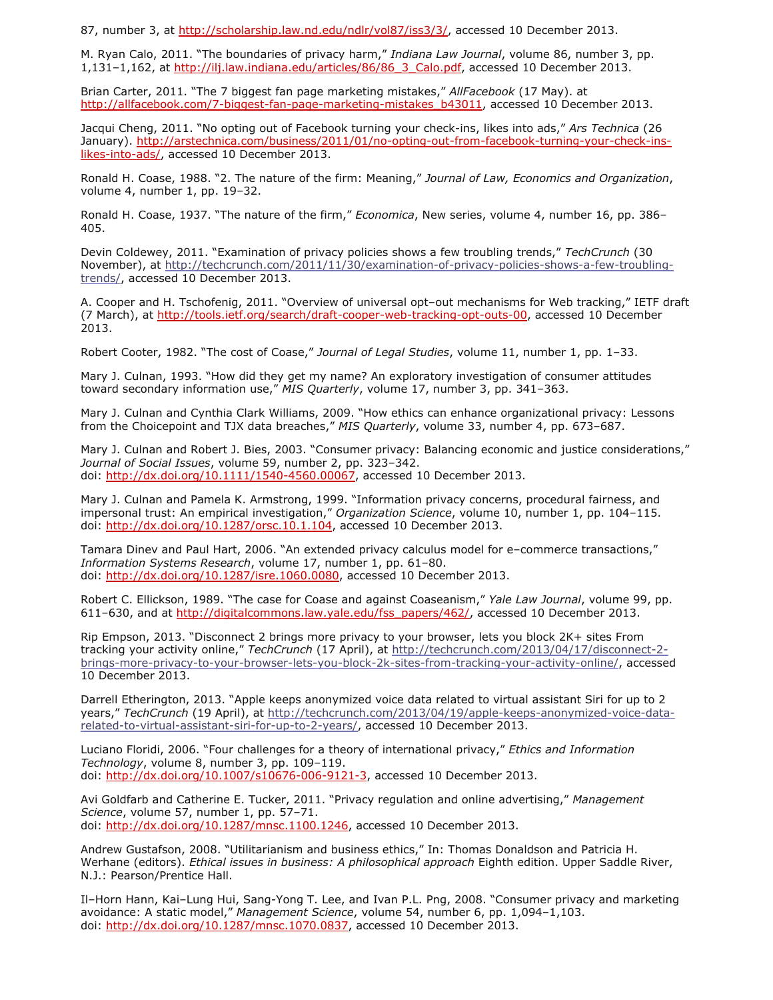87, number 3, at [http://scholarship.law.nd.edu/ndlr/vol87/iss3/3/,](http://scholarship.law.nd.edu/ndlr/vol87/iss3/3/) accessed 10 December 2013.

M. Ryan Calo, 2011. "The boundaries of privacy harm," *Indiana Law Journal*, volume 86, number 3, pp. 1,131-1,162, at [http://ilj.law.indiana.edu/articles/86/86\\_3\\_Calo.pdf,](http://ilj.law.indiana.edu/articles/86/86_3_Calo.pdf) accessed 10 December 2013.

Brian Carter, 2011. "The 7 biggest fan page marketing mistakes," *AllFacebook* (17 May). at [http://allfacebook.com/7-biggest-fan-page-marketing-mistakes\\_b43011,](http://allfacebook.com/7-biggest-fan-page-marketing-mistakes_b43011) accessed 10 December 2013.

Jacqui Cheng, 2011. "No opting out of Facebook turning your check-ins, likes into ads," *Ars Technica* (26 [January\). http://arstechnica.com/business/2011/01/no-opting-out-from-facebook-turning-your-check-ins](http://arstechnica.com/business/2011/01/no-opting-out-from-facebook-turning-your-check-ins-likes-into-ads/)likes-into-ads/, accessed 10 December 2013.

Ronald H. Coase, 1988. "2. The nature of the firm: Meaning," *Journal of Law, Economics and Organization*, volume 4, number 1, pp. 19–32.

Ronald H. Coase, 1937. "The nature of the firm," *Economica*, New series, volume 4, number 16, pp. 386– 405.

Devin Coldewey, 2011. "Examination of privacy policies shows a few troubling trends," *TechCrunch* (30 [November\), at http://techcrunch.com/2011/11/30/examination-of-privacy-policies-shows-a-few-troubling](http://techcrunch.com/2011/11/30/examination-of-privacy-policies-shows-a-few-troubling-trends/)trends/, accessed 10 December 2013.

A. Cooper and H. Tschofenig, 2011. "Overview of universal opt–out mechanisms for Web tracking," IETF draft (7 March), at [http://tools.ietf.org/search/draft-cooper-web-tracking-opt-outs-00,](http://tools.ietf.org/search/draft-cooper-web-tracking-opt-outs-00) accessed 10 December 2013.

Robert Cooter, 1982. "The cost of Coase," *Journal of Legal Studies*, volume 11, number 1, pp. 1–33.

Mary J. Culnan, 1993. "How did they get my name? An exploratory investigation of consumer attitudes toward secondary information use," *MIS Quarterly*, volume 17, number 3, pp. 341–363.

Mary J. Culnan and Cynthia Clark Williams, 2009. "How ethics can enhance organizational privacy: Lessons from the Choicepoint and TJX data breaches," *MIS Quarterly*, volume 33, number 4, pp. 673–687.

Mary J. Culnan and Robert J. Bies, 2003. "Consumer privacy: Balancing economic and justice considerations," *Journal of Social Issues*, volume 59, number 2, pp. 323–342. doi: <http://dx.doi.org/10.1111/1540-4560.00067>, accessed 10 December 2013.

Mary J. Culnan and Pamela K. Armstrong, 1999. "Information privacy concerns, procedural fairness, and impersonal trust: An empirical investigation," *Organization Science*, volume 10, number 1, pp. 104–115. doi: <http://dx.doi.org/10.1287/orsc.10.1.104>, accessed 10 December 2013.

Tamara Dinev and Paul Hart, 2006. "An extended privacy calculus model for e–commerce transactions," *Information Systems Research*, volume 17, number 1, pp. 61–80. doi: [http://dx.doi.org/10.1287/isre.1060.0080,](http://dx.doi.org/10.1287/isre.1060.0080) accessed 10 December 2013.

Robert C. Ellickson, 1989. "The case for Coase and against Coaseanism," *Yale Law Journal*, volume 99, pp. 611–630, and at [http://digitalcommons.law.yale.edu/fss\\_papers/462/](http://digitalcommons.law.yale.edu/fss_papers/462/), accessed 10 December 2013.

Rip Empson, 2013. "Disconnect 2 brings more privacy to your browser, lets you block 2K+ sites From tracking your activity online," *TechCrunch* (17 April), at http://techcrunch.com/2013/04/17/disconnect-2 [brings-more-privacy-to-your-browser-lets-you-block-2k-sites-from-tracking-your-activity-online/, accesse](http://techcrunch.com/2013/04/17/disconnect-2-brings-more-privacy-to-your-browser-lets-you-block-2k-sites-from-tracking-your-activity-online/)d 10 December 2013.

Darrell Etherington, 2013. "Apple keeps anonymized voice data related to virtual assistant Siri for up to 2 years," *TechCrunch* [\(19 April\), at http://techcrunch.com/2013/04/19/apple-keeps-anonymized-voice-data](http://techcrunch.com/2013/04/19/apple-keeps-anonymized-voice-data-related-to-virtual-assistant-siri-for-up-to-2-years/)related-to-virtual-assistant-siri-for-up-to-2-years/, accessed 10 December 2013.

Luciano Floridi, 2006. "Four challenges for a theory of international privacy," *Ethics and Information Technology*, volume 8, number 3, pp. 109–119. doi: [http://dx.doi.org/10.1007/s10676-006-9121-3,](http://dx.doi.org/10.1007/s10676-006-9121-3) accessed 10 December 2013.

Avi Goldfarb and Catherine E. Tucker, 2011. "Privacy regulation and online advertising," *Management Science*, volume 57, number 1, pp. 57–71. doi: [http://dx.doi.org/10.1287/mnsc.1100.1246,](http://dx.doi.org/10.1287/mnsc.1100.1246) accessed 10 December 2013.

Andrew Gustafson, 2008. "Utilitarianism and business ethics," In: Thomas Donaldson and Patricia H. Werhane (editors). *Ethical issues in business: A philosophical approach* Eighth edition. Upper Saddle River, N.J.: Pearson/Prentice Hall.

Il–Horn Hann, Kai–Lung Hui, Sang-Yong T. Lee, and Ivan P.L. Png, 2008. "Consumer privacy and marketing avoidance: A static model," *Management Science*, volume 54, number 6, pp. 1,094–1,103. doi: [http://dx.doi.org/10.1287/mnsc.1070.0837,](http://dx.doi.org/10.1287/mnsc.1070.0837) accessed 10 December 2013.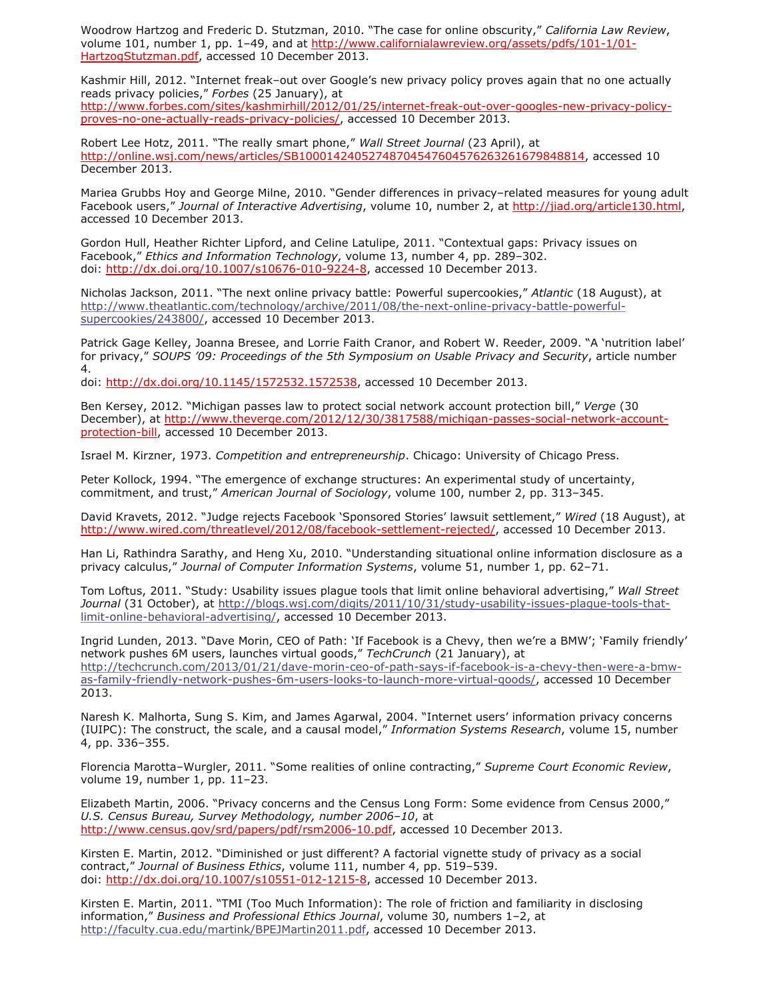Woodrow Hartzog and Frederic D. Stutzman, 2010. "The case for online obscurity," *California Law Review*, [volume 101, number 1, pp. 1–49, and at http://www.californialawreview.org/assets/pdfs/101-1/01-](http://www.californialawreview.org/assets/pdfs/101-1/01-HartzogStutzman.pdf) HartzogStutzman.pdf, accessed 10 December 2013.

Kashmir Hill, 2012. "Internet freak–out over Google's new privacy policy proves again that no one actually reads privacy policies," *Forbes* (25 January), at [http://www.forbes.com/sites/kashmirhill/2012/01/25/internet-freak-out-over-googles-new-privacy-policy](http://www.forbes.com/sites/kashmirhill/2012/01/25/internet-freak-out-over-googles-new-privacy-policy-proves-no-one-actually-reads-privacy-policies/)proves-no-one-actually-reads-privacy-policies/, accessed 10 December 2013.

Robert Lee Hotz, 2011. "The really smart phone," *Wall Street Journal* (23 April), at <http://online.wsj.com/news/articles/SB10001424052748704547604576263261679848814>, accessed 10 December 2013.

Mariea Grubbs Hoy and George Milne, 2010. "Gender differences in privacy–related measures for young adult Facebook users," *Journal of Interactive Advertising*, volume 10, number 2, at [http://jiad.org/article130.html,](http://jiad.org/article130.html) accessed 10 December 2013.

Gordon Hull, Heather Richter Lipford, and Celine Latulipe, 2011. "Contextual gaps: Privacy issues on Facebook," *Ethics and Information Technology*, volume 13, number 4, pp. 289–302. doi: [http://dx.doi.org/10.1007/s10676-010-9224-8,](http://dx.doi.org/10.1007/s10676-010-9224-8) accessed 10 December 2013.

Nicholas Jackson, 2011. "The next online privacy battle: Powerful supercookies," *Atlantic* (18 August), at [http://www.theatlantic.com/technology/archive/2011/08/the-next-online-privacy-battle-powerful](http://www.theatlantic.com/technology/archive/2011/08/the-next-online-privacy-battle-powerful-supercookies/243800/)supercookies/243800/, accessed 10 December 2013.

Patrick Gage Kelley, Joanna Bresee, and Lorrie Faith Cranor, and Robert W. Reeder, 2009. "A 'nutrition label' for privacy," *SOUPS '09: Proceedings of the 5th Symposium on Usable Privacy and Security*, article number 4.

doi: [http://dx.doi.org/10.1145/1572532.1572538,](http://dx.doi.org/10.1145/1572532.1572538) accessed 10 December 2013.

Ben Kersey, 2012. "Michigan passes law to protect social network account protection bill," *Verge* (30 [December\), at http://www.theverge.com/2012/12/30/3817588/michigan-passes-social-network-account](http://www.theverge.com/2012/12/30/3817588/michigan-passes-social-network-account-protection-bill)protection-bill, accessed 10 December 2013.

Israel M. Kirzner, 1973. *Competition and entrepreneurship*. Chicago: University of Chicago Press.

Peter Kollock, 1994. "The emergence of exchange structures: An experimental study of uncertainty, commitment, and trust," *American Journal of Sociology*, volume 100, number 2, pp. 313–345.

David Kravets, 2012. "Judge rejects Facebook 'Sponsored Stories' lawsuit settlement," *Wired* (18 August), at [http://www.wired.com/threatlevel/2012/08/facebook-settlement-rejected/,](http://www.wired.com/threatlevel/2012/08/facebook-settlement-rejected/) accessed 10 December 2013.

Han Li, Rathindra Sarathy, and Heng Xu, 2010. "Understanding situational online information disclosure as a privacy calculus," *Journal of Computer Information Systems*, volume 51, number 1, pp. 62–71.

Tom Loftus, 2011. "Study: Usability issues plague tools that limit online behavioral advertising," *Wall Street Journal* [\(31 October\), at http://blogs.wsj.com/digits/2011/10/31/study-usability-issues-plague-tools-that](http://blogs.wsj.com/digits/2011/10/31/study-usability-issues-plague-tools-that-limit-online-behavioral-advertising/)limit-online-behavioral-advertising/, accessed 10 December 2013.

Ingrid Lunden, 2013. "Dave Morin, CEO of Path: 'If Facebook is a Chevy, then we're a BMW'; 'Family friendly' network pushes 6M users, launches virtual goods," *TechCrunch* (21 January), at [http://techcrunch.com/2013/01/21/dave-morin-ceo-of-path-says-if-facebook-is-a-chevy-then-were-a-bmw](http://techcrunch.com/2013/01/21/dave-morin-ceo-of-path-says-if-facebook-is-a-chevy-then-were-a-bmw-as-family-friendly-network-pushes-6m-users-looks-to-launch-more-virtual-goods/)as-family-friendly-network-pushes-6m-users-looks-to-launch-more-virtual-goods/, accessed 10 December 2013.

Naresh K. Malhorta, Sung S. Kim, and James Agarwal, 2004. "Internet users' information privacy concerns (IUIPC): The construct, the scale, and a causal model," *Information Systems Research*, volume 15, number 4, pp. 336–355.

Florencia Marotta–Wurgler, 2011. "Some realities of online contracting," *Supreme Court Economic Review*, volume 19, number 1, pp. 11–23.

Elizabeth Martin, 2006. "Privacy concerns and the Census Long Form: Some evidence from Census 2000," *U.S. Census Bureau, Survey Methodology, number 2006–10*, at [http://www.census.gov/srd/papers/pdf/rsm2006-10.pdf,](http://www.census.gov/srd/papers/pdf/rsm2006-10.pdf) accessed 10 December 2013.

Kirsten E. Martin, 2012. "Diminished or just different? A factorial vignette study of privacy as a social contract," *Journal of Business Ethics*, volume 111, number 4, pp. 519–539. doi: [http://dx.doi.org/10.1007/s10551-012-1215-8,](http://dx.doi.org/10.1007/s10551-012-1215-8) accessed 10 December 2013.

Kirsten E. Martin, 2011. "TMI (Too Much Information): The role of friction and familiarity in disclosing information," *Business and Professional Ethics Journal*, volume 30, numbers 1–2, at [http://faculty.cua.edu/martink/BPEJMartin2011.pdf,](http://faculty.cua.edu/martink/BPEJMartin2011.pdf) accessed 10 December 2013.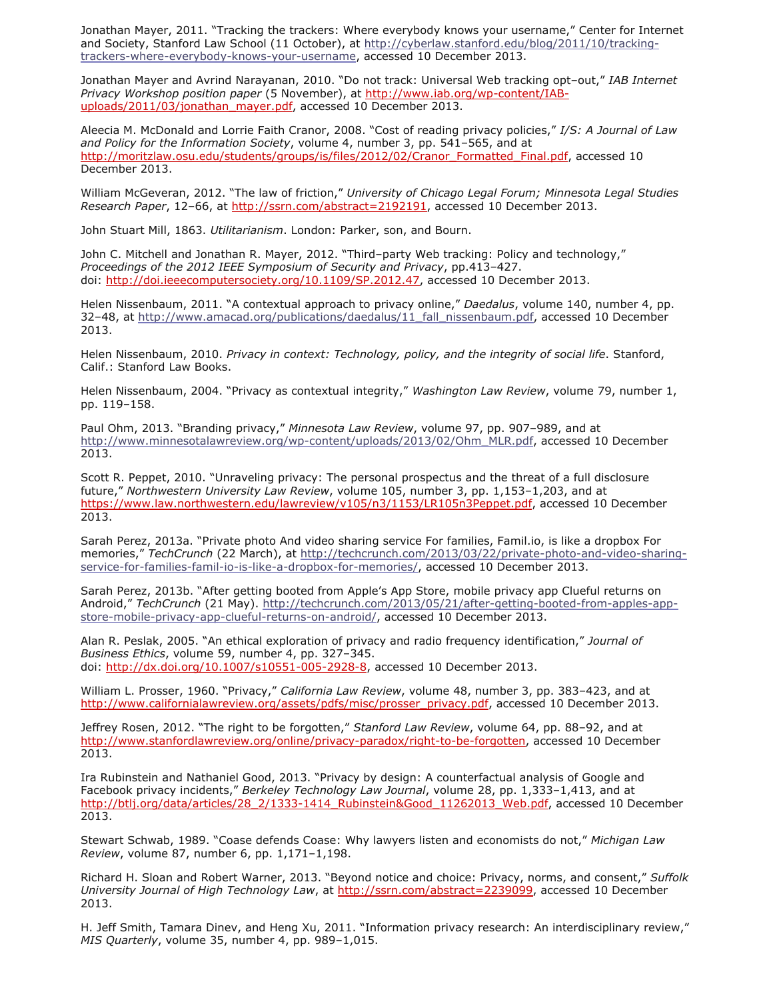Jonathan Mayer, 2011. "Tracking the trackers: Where everybody knows your username," Center for Internet [and Society, Stanford Law School \(11 October\), at http://cyberlaw.stanford.edu/blog/2011/10/tracking](http://cyberlaw.stanford.edu/blog/2011/10/tracking-trackers-where-everybody-knows-your-username)trackers-where-everybody-knows-your-username, accessed 10 December 2013.

Jonathan Mayer and Avrind Narayanan, 2010. "Do not track: Universal Web tracking opt–out," *IAB Internet Privacy Workshop position paper* (5 November), at http://www.iab.org/wp-content/IAB[uploads/2011/03/jonathan\\_mayer.pdf, accessed 10 December 2013.](http://www.iab.org/wp-content/IAB-uploads/2011/03/jonathan_mayer.pdf)

Aleecia M. McDonald and Lorrie Faith Cranor, 2008. "Cost of reading privacy policies," *I/S: A Journal of Law and Policy for the Information Society*, volume 4, number 3, pp. 541–565, and at [http://moritzlaw.osu.edu/students/groups/is/files/2012/02/Cranor\\_Formatted\\_Final.pdf,](http://moritzlaw.osu.edu/students/groups/is/files/2012/02/Cranor_Formatted_Final.pdf) accessed 10 December 2013.

William McGeveran, 2012. "The law of friction," *University of Chicago Legal Forum; Minnesota Legal Studies Research Paper*, 12–66, at<http://ssrn.com/abstract=2192191>, accessed 10 December 2013.

John Stuart Mill, 1863. *Utilitarianism*. London: Parker, son, and Bourn.

John C. Mitchell and Jonathan R. Mayer, 2012. "Third–party Web tracking: Policy and technology," *Proceedings of the 2012 IEEE Symposium of Security and Privacy*, pp.413–427. doi: [http://doi.ieeecomputersociety.org/10.1109/SP.2012.47,](http://doi.ieeecomputersociety.org/10.1109/SP.2012.47) accessed 10 December 2013.

Helen Nissenbaum, 2011. "A contextual approach to privacy online," *Daedalus*, volume 140, number 4, pp. 32–48, at [http://www.amacad.org/publications/daedalus/11\\_fall\\_nissenbaum.pdf,](http://www.amacad.org/publications/daedalus/11_fall_nissenbaum.pdf) accessed 10 December 2013.

Helen Nissenbaum, 2010. *Privacy in context: Technology, policy, and the integrity of social life*. Stanford, Calif.: Stanford Law Books.

Helen Nissenbaum, 2004. "Privacy as contextual integrity," *Washington Law Review*, volume 79, number 1, pp. 119–158.

Paul Ohm, 2013. "Branding privacy," *Minnesota Law Review*, volume 97, pp. 907–989, and at [http://www.minnesotalawreview.org/wp-content/uploads/2013/02/Ohm\\_MLR.pdf,](http://www.minnesotalawreview.org/wp-content/uploads/2013/02/Ohm_MLR.pdf) accessed 10 December 2013.

Scott R. Peppet, 2010. "Unraveling privacy: The personal prospectus and the threat of a full disclosure future," *Northwestern University Law Review*, volume 105, number 3, pp. 1,153–1,203, and at [https://www.law.northwestern.edu/lawreview/v105/n3/1153/LR105n3Peppet.pdf,](https://www.law.northwestern.edu/lawreview/v105/n3/1153/LR105n3Peppet.pdf) accessed 10 December 2013.

Sarah Perez, 2013a. "Private photo And video sharing service For families, Famil.io, is like a dropbox For memories," *TechCrunch* (22 March), at http://techcrunch.com/2013/03/22/private-photo-and-video-sharing[service-for-families-famil-io-is-like-a-dropbox-for-memories/, accessed 10 December 2013.](http://techcrunch.com/2013/03/22/private-photo-and-video-sharing-service-for-families-famil-io-is-like-a-dropbox-for-memories/)

Sarah Perez, 2013b. "After getting booted from Apple's App Store, mobile privacy app Clueful returns on Android," *TechCrunch* [\(21 May\). http://techcrunch.com/2013/05/21/after-getting-booted-from-apples-app](http://techcrunch.com/2013/05/21/after-getting-booted-from-apples-app-store-mobile-privacy-app-clueful-returns-on-android/)store-mobile-privacy-app-clueful-returns-on-android/, accessed 10 December 2013.

Alan R. Peslak, 2005. "An ethical exploration of privacy and radio frequency identification," *Journal of Business Ethics*, volume 59, number 4, pp. 327–345. doi: [http://dx.doi.org/10.1007/s10551-005-2928-8,](http://dx.doi.org/10.1007/s10551-005-2928-8) accessed 10 December 2013.

William L. Prosser, 1960. "Privacy," *California Law Review*, volume 48, number 3, pp. 383–423, and at [http://www.californialawreview.org/assets/pdfs/misc/prosser\\_privacy.pdf](http://www.californialawreview.org/assets/pdfs/misc/prosser_privacy.pdf), accessed 10 December 2013.

Jeffrey Rosen, 2012. "The right to be forgotten," *Stanford Law Review*, volume 64, pp. 88–92, and at [http://www.stanfordlawreview.org/online/privacy-paradox/right-to-be-forgotten,](http://www.stanfordlawreview.org/online/privacy-paradox/right-to-be-forgotten) accessed 10 December 2013.

Ira Rubinstein and Nathaniel Good, 2013. "Privacy by design: A counterfactual analysis of Google and Facebook privacy incidents," *Berkeley Technology Law Journal*, volume 28, pp. 1,333–1,413, and at [http://btlj.org/data/articles/28\\_2/1333-1414\\_Rubinstein&Good\\_11262013\\_Web.pdf,](http://btlj.org/data/articles/28_2/1333-1414_Rubinstein&Good_11262013_Web.pdf) accessed 10 December 2013.

Stewart Schwab, 1989. "Coase defends Coase: Why lawyers listen and economists do not," *Michigan Law Review*, volume 87, number 6, pp. 1,171–1,198.

Richard H. Sloan and Robert Warner, 2013. "Beyond notice and choice: Privacy, norms, and consent," *Suffolk University Journal of High Technology Law*, at<http://ssrn.com/abstract=2239099>, accessed 10 December 2013.

H. Jeff Smith, Tamara Dinev, and Heng Xu, 2011. "Information privacy research: An interdisciplinary review," *MIS Quarterly*, volume 35, number 4, pp. 989–1,015.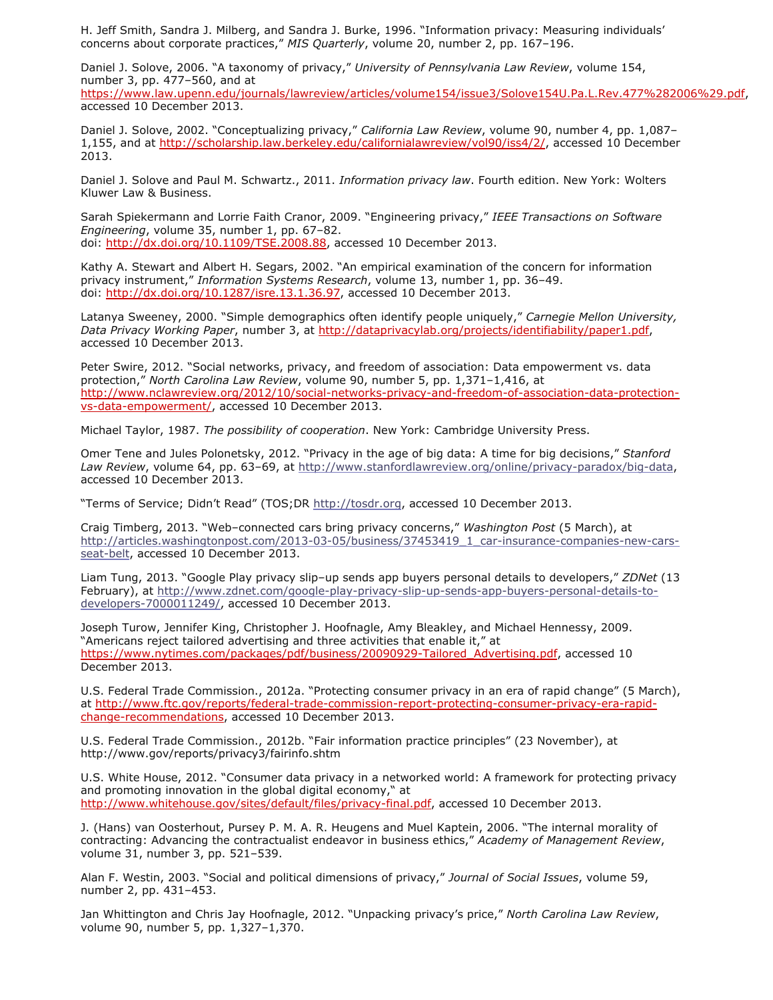H. Jeff Smith, Sandra J. Milberg, and Sandra J. Burke, 1996. "Information privacy: Measuring individuals' concerns about corporate practices," *MIS Quarterly*, volume 20, number 2, pp. 167–196.

Daniel J. Solove, 2006. "A taxonomy of privacy," *University of Pennsylvania Law Review*, volume 154, number 3, pp. 477–560, and at

[https://www.law.upenn.edu/journals/lawreview/articles/volume154/issue3/Solove154U.Pa.L.Rev.477%282006%29.pdf,](https://www.law.upenn.edu/journals/lawreview/articles/volume154/issue3/Solove154U.Pa.L.Rev.477%282006%29.pdf) accessed 10 December 2013.

Daniel J. Solove, 2002. "Conceptualizing privacy," *California Law Review*, volume 90, number 4, pp. 1,087– 1,155, and at [http://scholarship.law.berkeley.edu/californialawreview/vol90/iss4/2/,](http://scholarship.law.berkeley.edu/californialawreview/vol90/iss4/2/) accessed 10 December 2013.

Daniel J. Solove and Paul M. Schwartz., 2011. *Information privacy law*. Fourth edition. New York: Wolters Kluwer Law & Business.

Sarah Spiekermann and Lorrie Faith Cranor, 2009. "Engineering privacy," *IEEE Transactions on Software Engineering*, volume 35, number 1, pp. 67–82. doi: [http://dx.doi.org/10.1109/TSE.2008.88,](http://dx.doi.org/10.1109/TSE.2008.88) accessed 10 December 2013.

Kathy A. Stewart and Albert H. Segars, 2002. "An empirical examination of the concern for information privacy instrument," *Information Systems Research*, volume 13, number 1, pp. 36–49. doi: [http://dx.doi.org/10.1287/isre.13.1.36.97,](http://dx.doi.org/10.1287/isre.13.1.36.97) accessed 10 December 2013.

Latanya Sweeney, 2000. "Simple demographics often identify people uniquely," *Carnegie Mellon University, Data Privacy Working Paper*, number 3, at [http://dataprivacylab.org/projects/identifiability/paper1.pdf,](http://dataprivacylab.org/projects/identifiability/paper1.pdf) accessed 10 December 2013.

Peter Swire, 2012. "Social networks, privacy, and freedom of association: Data empowerment vs. data protection," *North Carolina Law Review*, volume 90, number 5, pp. 1,371–1,416, at [http://www.nclawreview.org/2012/10/social-networks-privacy-and-freedom-of-association-data-protection](http://www.nclawreview.org/2012/10/social-networks-privacy-and-freedom-of-association-data-protection-vs-data-empowerment/)vs-data-empowerment/, accessed 10 December 2013.

Michael Taylor, 1987. *The possibility of cooperation*. New York: Cambridge University Press.

Omer Tene and Jules Polonetsky, 2012. "Privacy in the age of big data: A time for big decisions," *Stanford Law Review*, volume 64, pp. 63–69, at [http://www.stanfordlawreview.org/online/privacy-paradox/big-data,](http://www.stanfordlawreview.org/online/privacy-paradox/big-data) accessed 10 December 2013.

"Terms of Service; Didn't Read" (TOS;DR [http://tosdr.org,](http://tosdr.org/) accessed 10 December 2013.

Craig Timberg, 2013. "Web–connected cars bring privacy concerns," *Washington Post* (5 March), at [http://articles.washingtonpost.com/2013-03-05/business/37453419\\_1\\_car-insurance-companies-new-cars](http://articles.washingtonpost.com/2013-03-05/business/37453419_1_car-insurance-companies-new-cars-seat-belt)seat-belt, accessed 10 December 2013.

Liam Tung, 2013. "Google Play privacy slip–up sends app buyers personal details to developers," *ZDNet* (13 [February\), at http://www.zdnet.com/google-play-privacy-slip-up-sends-app-buyers-personal-details-to](http://www.zdnet.com/google-play-privacy-slip-up-sends-app-buyers-personal-details-to-developers-7000011249/)developers-7000011249/, accessed 10 December 2013.

Joseph Turow, Jennifer King, Christopher J. Hoofnagle, Amy Bleakley, and Michael Hennessy, 2009. "Americans reject tailored advertising and three activities that enable it," at [https://www.nytimes.com/packages/pdf/business/20090929-Tailored\\_Advertising.pdf,](https://www.nytimes.com/packages/pdf/business/20090929-Tailored_Advertising.pdf) accessed 10 December 2013.

U.S. Federal Trade Commission., 2012a. "Protecting consumer privacy in an era of rapid change" (5 March), [at http://www.ftc.gov/reports/federal-trade-commission-report-protecting-consumer-privacy-era-rapid](http://www.ftc.gov/reports/federal-trade-commission-report-protecting-consumer-privacy-era-rapid-change-recommendations)change-recommendations, accessed 10 December 2013.

U.S. Federal Trade Commission., 2012b. "Fair information practice principles" (23 November), at http://www.gov/reports/privacy3/fairinfo.shtm

U.S. White House, 2012. "Consumer data privacy in a networked world: A framework for protecting privacy and promoting innovation in the global digital economy," at [http://www.whitehouse.gov/sites/default/files/privacy-final.pdf,](http://www.whitehouse.gov/sites/default/files/privacy-final.pdf) accessed 10 December 2013.

J. (Hans) van Oosterhout, Pursey P. M. A. R. Heugens and Muel Kaptein, 2006. "The internal morality of contracting: Advancing the contractualist endeavor in business ethics," *Academy of Management Review*, volume 31, number 3, pp. 521–539.

Alan F. Westin, 2003. "Social and political dimensions of privacy," *Journal of Social Issues*, volume 59, number 2, pp. 431–453.

Jan Whittington and Chris Jay Hoofnagle, 2012. "Unpacking privacy's price," *North Carolina Law Review*, volume 90, number 5, pp. 1,327–1,370.